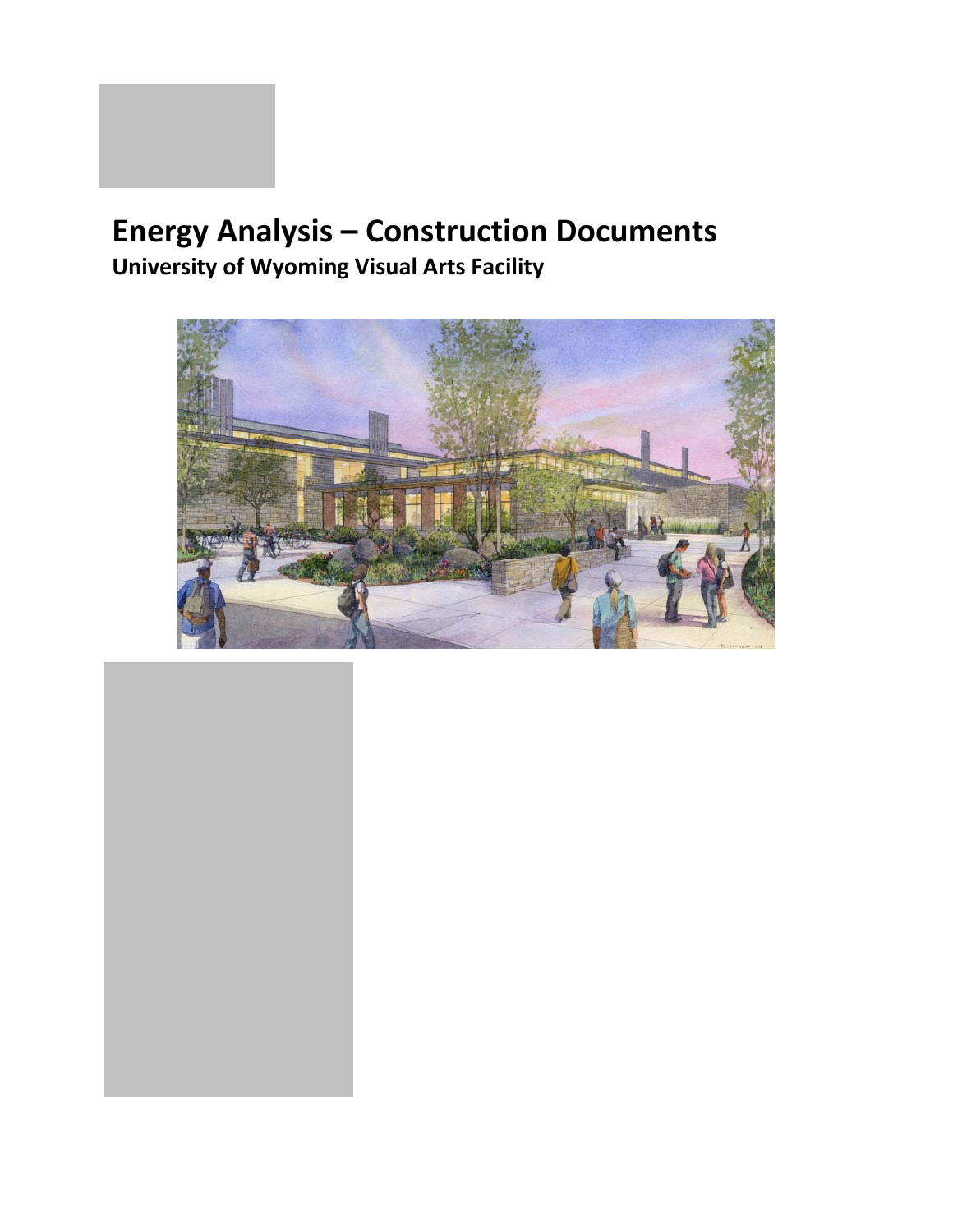# **Energy Analysis – Construction Documents University of Wyoming Visual Arts Facility**



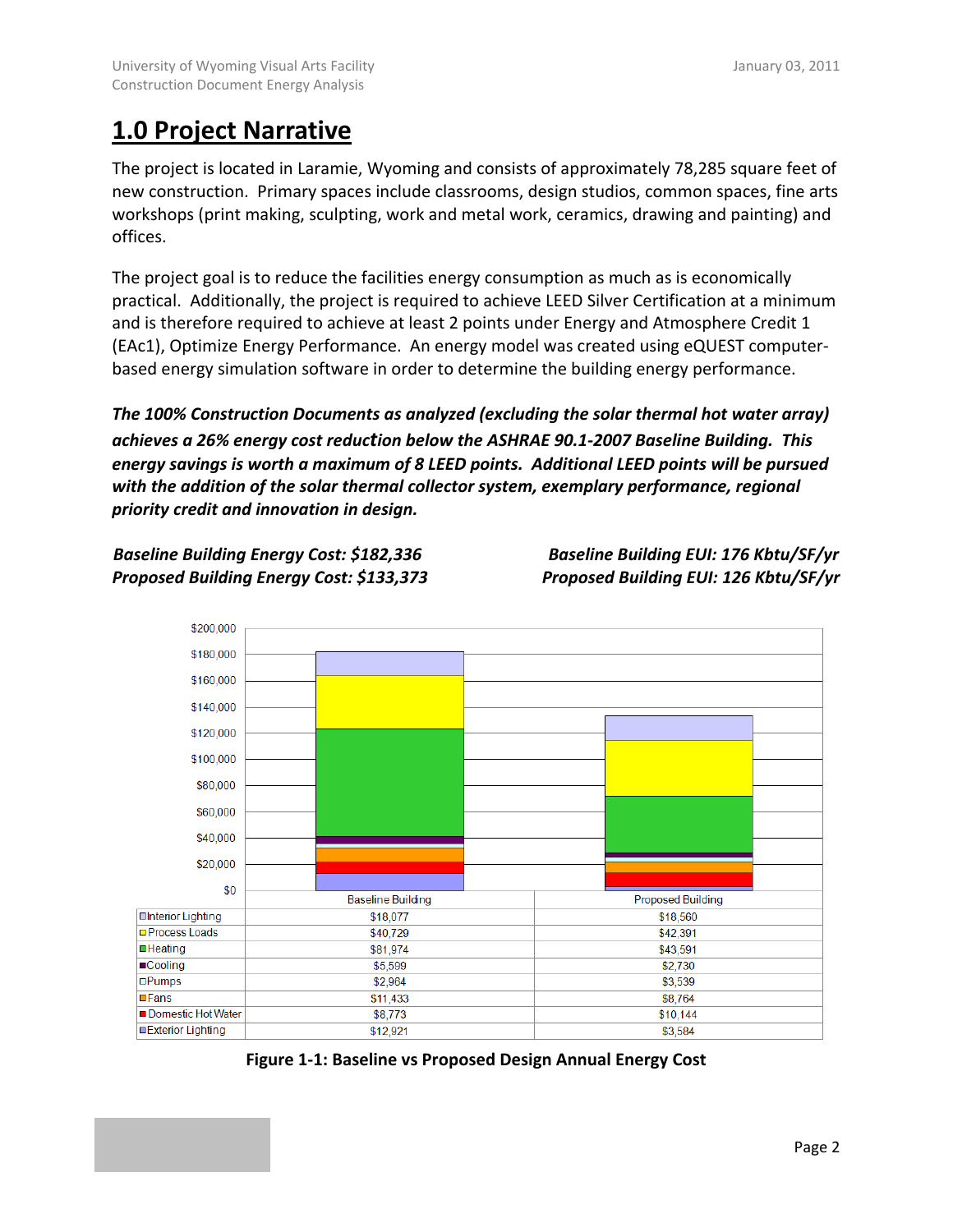# **1.0 Project Narrative**

The project is located in Laramie, Wyoming and consists of approximately 78,285 square feet of new construction. Primary spaces include classrooms, design studios, common spaces, fine arts workshops (print making, sculpting, work and metal work, ceramics, drawing and painting) and offices.

The project goal is to reduce the facilities energy consumption as much as is economically practical. Additionally, the project is required to achieve LEED Silver Certification at a minimum and is therefore required to achieve at least 2 points under Energy and Atmosphere Credit 1 (EAc1), Optimize Energy Performance. An energy model was created using eQUEST computer‐ based energy simulation software in order to determine the building energy performance.

*The 100% Construction Documents as analyzed (excluding the solar thermal hot water array) achieves a 26% energy cost reduction below the ASHRAE 90.1‐2007 Baseline Building. This energy savings is worth a maximum of 8 LEED points. Additional LEED points will be pursued with the addition of the solar thermal collector system, exemplary performance, regional priority credit and innovation in design.*

*Baseline Building Energy Cost: \$182,336 Baseline Building EUI: 176 Kbtu/SF/yr Proposed Building Energy Cost: \$133,373 Proposed Building EUI: 126 Kbtu/SF/yr*



**Figure 1‐1: Baseline vs Proposed Design Annual Energy Cost**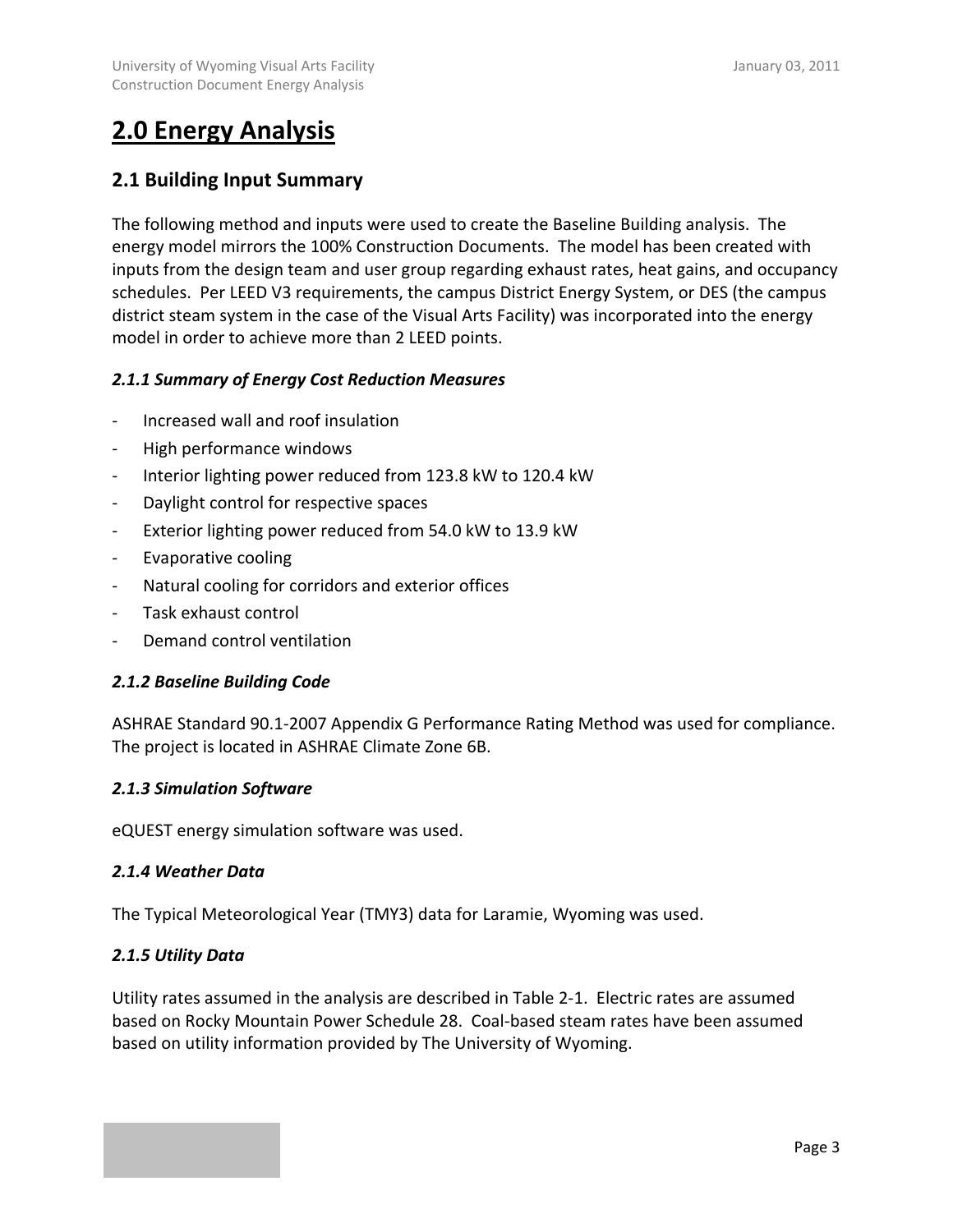# **2.0 Energy Analysis**

## **2.1 Building Input Summary**

The following method and inputs were used to create the Baseline Building analysis. The energy model mirrors the 100% Construction Documents. The model has been created with inputs from the design team and user group regarding exhaust rates, heat gains, and occupancy schedules. Per LEED V3 requirements, the campus District Energy System, or DES (the campus district steam system in the case of the Visual Arts Facility) was incorporated into the energy model in order to achieve more than 2 LEED points.

## *2.1.1 Summary of Energy Cost Reduction Measures*

- ‐ Increased wall and roof insulation
- ‐ High performance windows
- Interior lighting power reduced from 123.8 kW to 120.4 kW
- ‐ Daylight control for respective spaces
- Exterior lighting power reduced from 54.0 kW to 13.9 kW
- ‐ Evaporative cooling
- ‐ Natural cooling for corridors and exterior offices
- ‐ Task exhaust control
- Demand control ventilation

#### *2.1.2 Baseline Building Code*

ASHRAE Standard 90.1‐2007 Appendix G Performance Rating Method was used for compliance. The project is located in ASHRAE Climate Zone 6B.

#### *2.1.3 Simulation Software*

eQUEST energy simulation software was used.

#### *2.1.4 Weather Data*

The Typical Meteorological Year (TMY3) data for Laramie, Wyoming was used.

#### *2.1.5 Utility Data*

Utility rates assumed in the analysis are described in Table 2‐1. Electric rates are assumed based on Rocky Mountain Power Schedule 28. Coal‐based steam rates have been assumed based on utility information provided by The University of Wyoming.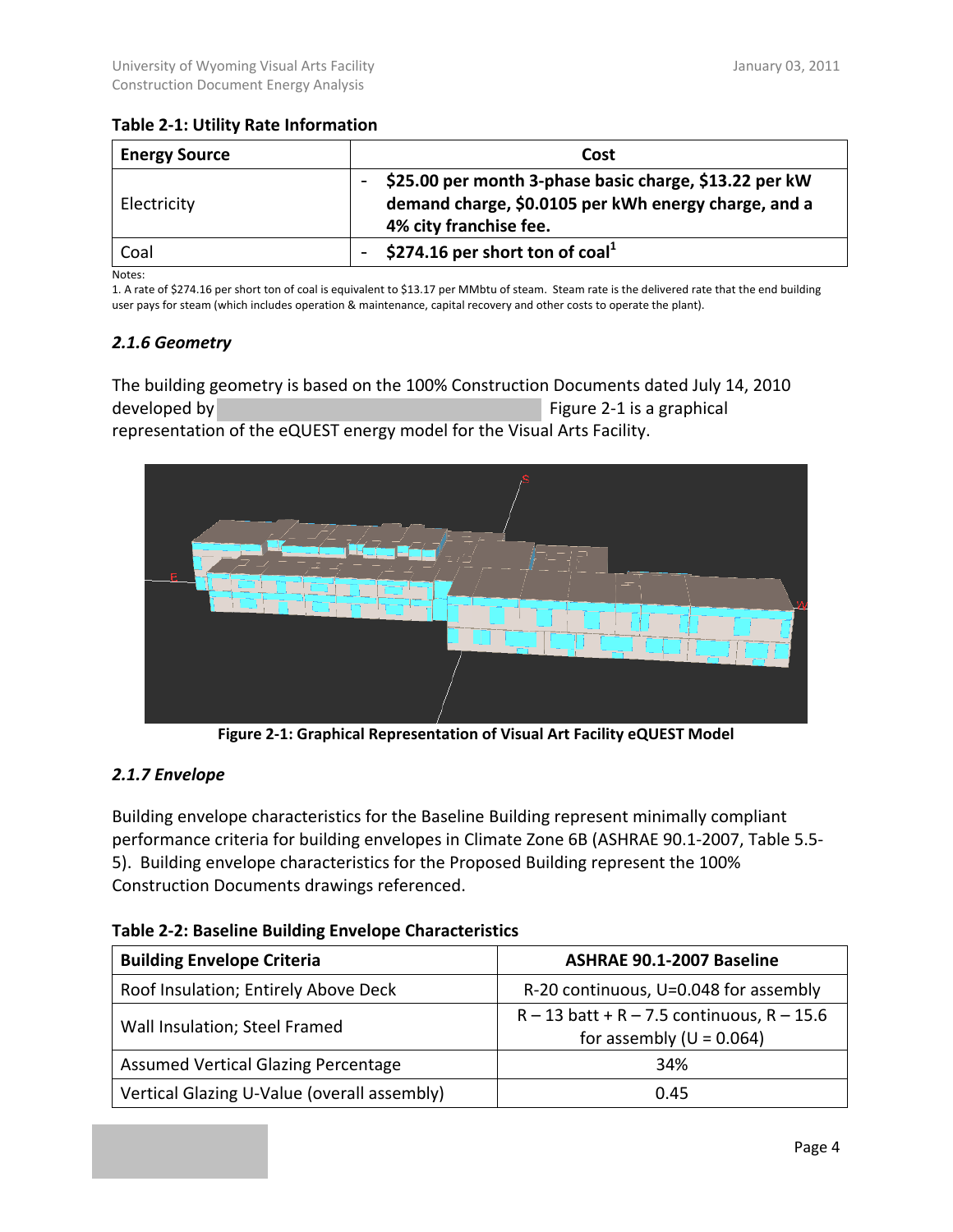### **Table 2‐1: Utility Rate Information**

| <b>Energy Source</b> | Cost                                                                                                                                         |
|----------------------|----------------------------------------------------------------------------------------------------------------------------------------------|
| Electricity          | $-$ \$25.00 per month 3-phase basic charge, \$13.22 per kW<br>demand charge, \$0.0105 per kWh energy charge, and a<br>4% city franchise fee. |
| Coal                 | $-$ \$274.16 per short ton of coal <sup>1</sup>                                                                                              |

Notes:

1. A rate of \$274.16 per short ton of coal is equivalent to \$13.17 per MMbtu of steam. Steam rate is the delivered rate that the end building user pays for steam (which includes operation & maintenance, capital recovery and other costs to operate the plant).

## *2.1.6 Geometry*

The building geometry is based on the 100% Construction Documents dated July 14, 2010 developed by Malone Belton Abel and THA Architecture. Figure 2-1 is a graphical representation of the eQUEST energy model for the Visual Arts Facility.



**Figure 2‐1: Graphical Representation of Visual Art Facility eQUEST Model**

## *2.1.7 Envelope*

Building envelope characteristics for the Baseline Building represent minimally compliant performance criteria for building envelopes in Climate Zone 6B (ASHRAE 90.1‐2007, Table 5.5‐ 5). Building envelope characteristics for the Proposed Building represent the 100% Construction Documents drawings referenced.

| Table 2-2: Baseline Building Envelope Characteristics |                                                                            |  |
|-------------------------------------------------------|----------------------------------------------------------------------------|--|
| <b>Building Envelope Criteria</b>                     | ASHRAE 90.1-2007 Baseline                                                  |  |
| Roof Insulation; Entirely Above Deck                  | R-20 continuous, U=0.048 for assembly                                      |  |
| Wall Insulation; Steel Framed                         | $R - 13$ batt + R - 7.5 continuous, R - 15.6<br>for assembly $(U = 0.064)$ |  |
| Assumed Vertical Glazing Percentage                   | 34%                                                                        |  |
| Vertical Glazing U-Value (overall assembly)           | 0.45                                                                       |  |

| Table 2-2: Baseline Building Envelope Characteristics |  |
|-------------------------------------------------------|--|
|-------------------------------------------------------|--|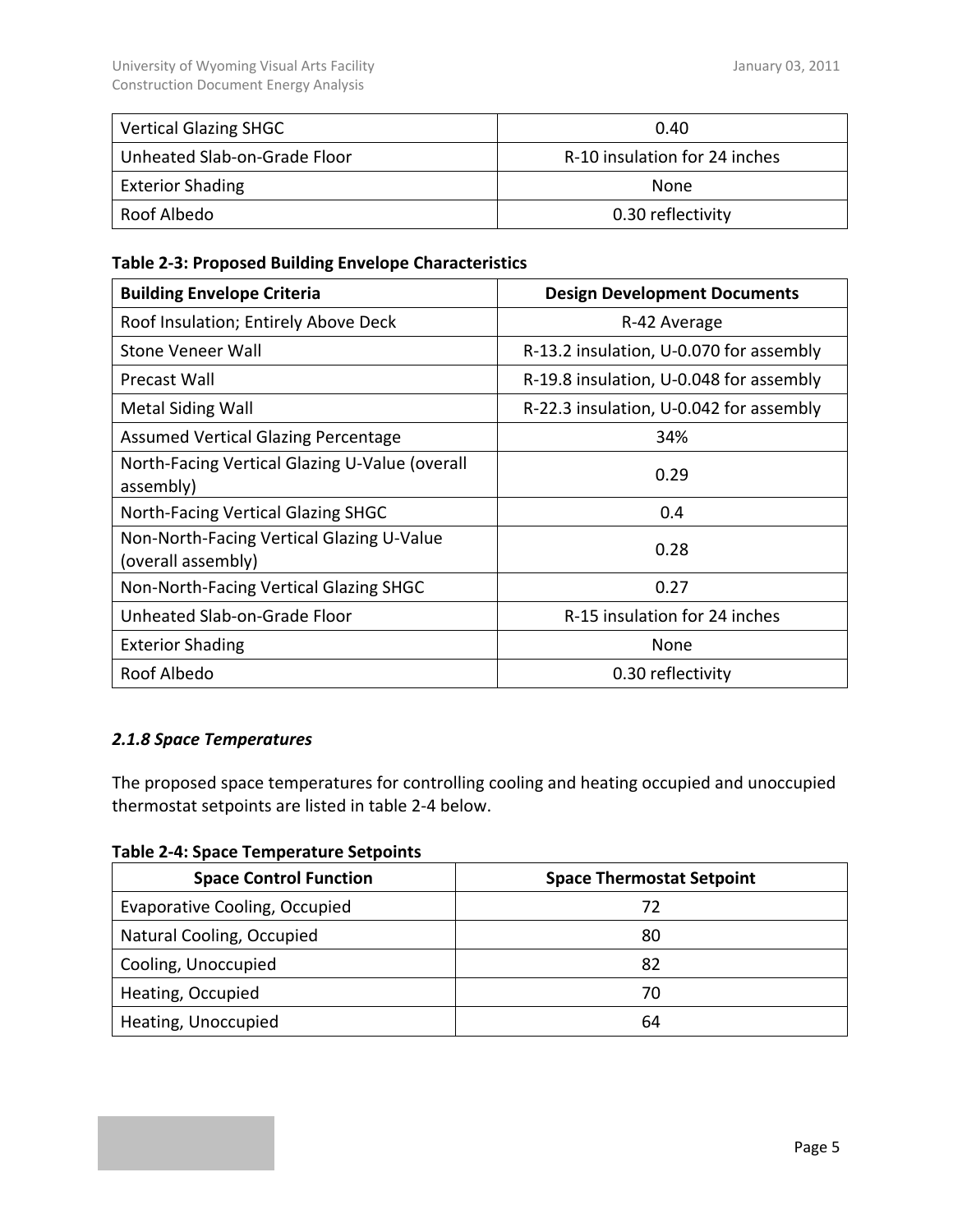| <b>Vertical Glazing SHGC</b> | 0.40                          |
|------------------------------|-------------------------------|
| Unheated Slab-on-Grade Floor | R-10 insulation for 24 inches |
| <b>Exterior Shading</b>      | None                          |
| Roof Albedo                  | 0.30 reflectivity             |

## **Table 2‐3: Proposed Building Envelope Characteristics**

| <b>Building Envelope Criteria</b>                               | <b>Design Development Documents</b>     |
|-----------------------------------------------------------------|-----------------------------------------|
| Roof Insulation; Entirely Above Deck                            | R-42 Average                            |
| Stone Veneer Wall                                               | R-13.2 insulation, U-0.070 for assembly |
| Precast Wall                                                    | R-19.8 insulation, U-0.048 for assembly |
| Metal Siding Wall                                               | R-22.3 insulation, U-0.042 for assembly |
| Assumed Vertical Glazing Percentage                             | 34%                                     |
| North-Facing Vertical Glazing U-Value (overall<br>assembly)     | 0.29                                    |
| North-Facing Vertical Glazing SHGC                              | 0.4                                     |
| Non-North-Facing Vertical Glazing U-Value<br>(overall assembly) | 0.28                                    |
| Non-North-Facing Vertical Glazing SHGC                          | 0.27                                    |
| Unheated Slab-on-Grade Floor                                    | R-15 insulation for 24 inches           |
| <b>Exterior Shading</b>                                         | None                                    |
| Roof Albedo                                                     | 0.30 reflectivity                       |

## *2.1.8 Space Temperatures*

The proposed space temperatures for controlling cooling and heating occupied and unoccupied thermostat setpoints are listed in table 2‐4 below.

**Table 2‐4: Space Temperature Setpoints**

| <b>Space Control Function</b> | <b>Space Thermostat Setpoint</b> |
|-------------------------------|----------------------------------|
| Evaporative Cooling, Occupied | 72                               |
| Natural Cooling, Occupied     | 80                               |
| Cooling, Unoccupied           | 82                               |
| Heating, Occupied             | 70                               |
| Heating, Unoccupied           | 64                               |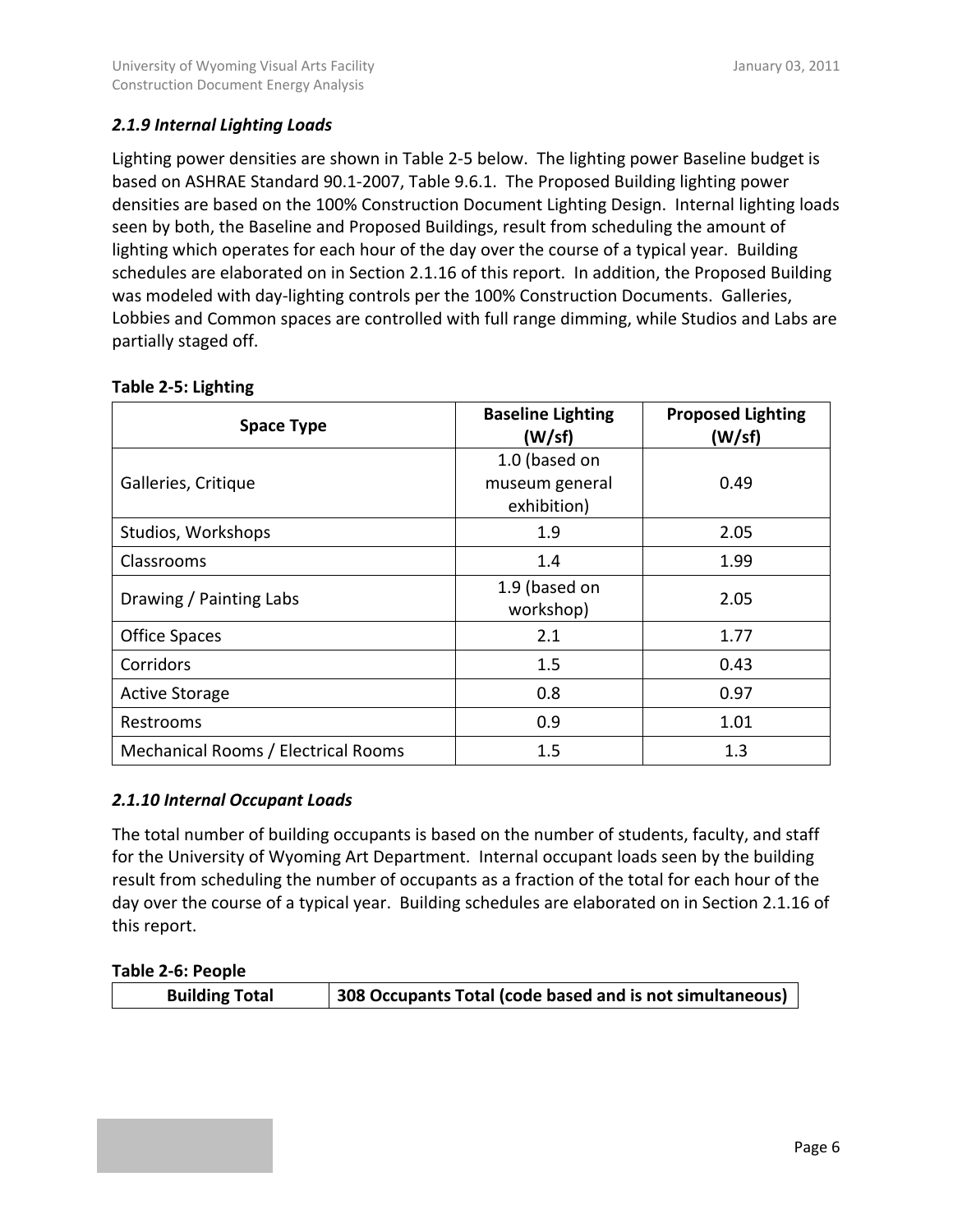## *2.1.9 Internal Lighting Loads*

Lighting power densities are shown in Table 2‐5 below. The lighting power Baseline budget is based on ASHRAE Standard 90.1‐2007, Table 9.6.1. The Proposed Building lighting power densities are based on the 100% Construction Document Lighting Design. Internal lighting loads seen by both, the Baseline and Proposed Buildings, result from scheduling the amount of lighting which operates for each hour of the day over the course of a typical year. Building schedules are elaborated on in Section 2.1.16 of this report. In addition, the Proposed Building was modeled with day-lighting controls per the 100% Construction Documents. Galleries, Lobbies and Common spaces are controlled with full range dimming, while Studios and Labs are partially staged off.

| <b>Space Type</b>                   | <b>Baseline Lighting</b><br>(W/sf)             | <b>Proposed Lighting</b><br>(W/sf) |
|-------------------------------------|------------------------------------------------|------------------------------------|
| Galleries, Critique                 | 1.0 (based on<br>museum general<br>exhibition) | 0.49                               |
| Studios, Workshops                  | 1.9                                            | 2.05                               |
| Classrooms                          | 1.4                                            | 1.99                               |
| Drawing / Painting Labs             | 1.9 (based on<br>workshop)                     | 2.05                               |
| <b>Office Spaces</b>                | 2.1                                            | 1.77                               |
| Corridors                           | 1.5                                            | 0.43                               |
| <b>Active Storage</b>               | 0.8                                            | 0.97                               |
| Restrooms                           | 0.9                                            | 1.01                               |
| Mechanical Rooms / Electrical Rooms | 1.5                                            | 1.3                                |

### **Table 2‐5: Lighting**

## *2.1.10 Internal Occupant Loads*

The total number of building occupants is based on the number of students, faculty, and staff for the University of Wyoming Art Department. Internal occupant loads seen by the building result from scheduling the number of occupants as a fraction of the total for each hour of the day over the course of a typical year. Building schedules are elaborated on in Section 2.1.16 of this report.

## **Table 2‐6: People**

| <b>Building Total</b> | 308 Occupants Total (code based and is not simultaneous) |
|-----------------------|----------------------------------------------------------|
|-----------------------|----------------------------------------------------------|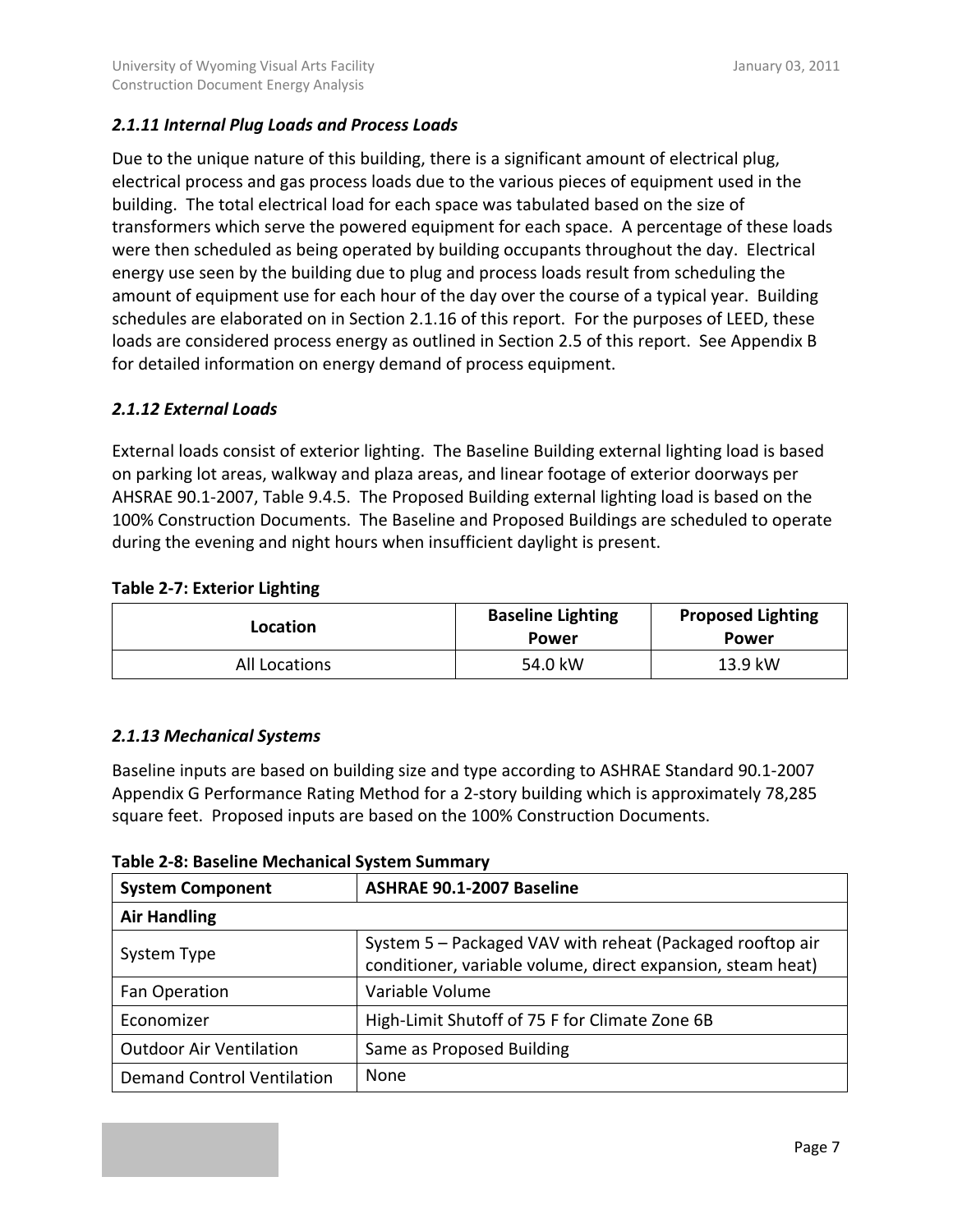## *2.1.11 Internal Plug Loads and Process Loads*

Due to the unique nature of this building, there is a significant amount of electrical plug, electrical process and gas process loads due to the various pieces of equipment used in the building. The total electrical load for each space was tabulated based on the size of transformers which serve the powered equipment for each space. A percentage of these loads were then scheduled as being operated by building occupants throughout the day. Electrical energy use seen by the building due to plug and process loads result from scheduling the amount of equipment use for each hour of the day over the course of a typical year. Building schedules are elaborated on in Section 2.1.16 of this report. For the purposes of LEED, these loads are considered process energy as outlined in Section 2.5 of this report. See Appendix B for detailed information on energy demand of process equipment.

## *2.1.12 External Loads*

External loads consist of exterior lighting. The Baseline Building external lighting load is based on parking lot areas, walkway and plaza areas, and linear footage of exterior doorways per AHSRAE 90.1‐2007, Table 9.4.5. The Proposed Building external lighting load is based on the 100% Construction Documents. The Baseline and Proposed Buildings are scheduled to operate during the evening and night hours when insufficient daylight is present.

### **Table 2‐7: Exterior Lighting**

| Location      | <b>Baseline Lighting</b><br>Power | <b>Proposed Lighting</b><br>Power |
|---------------|-----------------------------------|-----------------------------------|
| All Locations | 54.0 kW                           | 13.9 kW                           |

## *2.1.13 Mechanical Systems*

Baseline inputs are based on building size and type according to ASHRAE Standard 90.1‐2007 Appendix G Performance Rating Method for a 2‐story building which is approximately 78,285 square feet. Proposed inputs are based on the 100% Construction Documents.

| <b>System Component</b>           | ASHRAE 90.1-2007 Baseline                                                                                                |
|-----------------------------------|--------------------------------------------------------------------------------------------------------------------------|
| <b>Air Handling</b>               |                                                                                                                          |
| System Type                       | System 5 - Packaged VAV with reheat (Packaged rooftop air<br>conditioner, variable volume, direct expansion, steam heat) |
| Fan Operation                     | Variable Volume                                                                                                          |
| Economizer                        | High-Limit Shutoff of 75 F for Climate Zone 6B                                                                           |
| <b>Outdoor Air Ventilation</b>    | Same as Proposed Building                                                                                                |
| <b>Demand Control Ventilation</b> | None                                                                                                                     |

#### **Table 2‐8: Baseline Mechanical System Summary**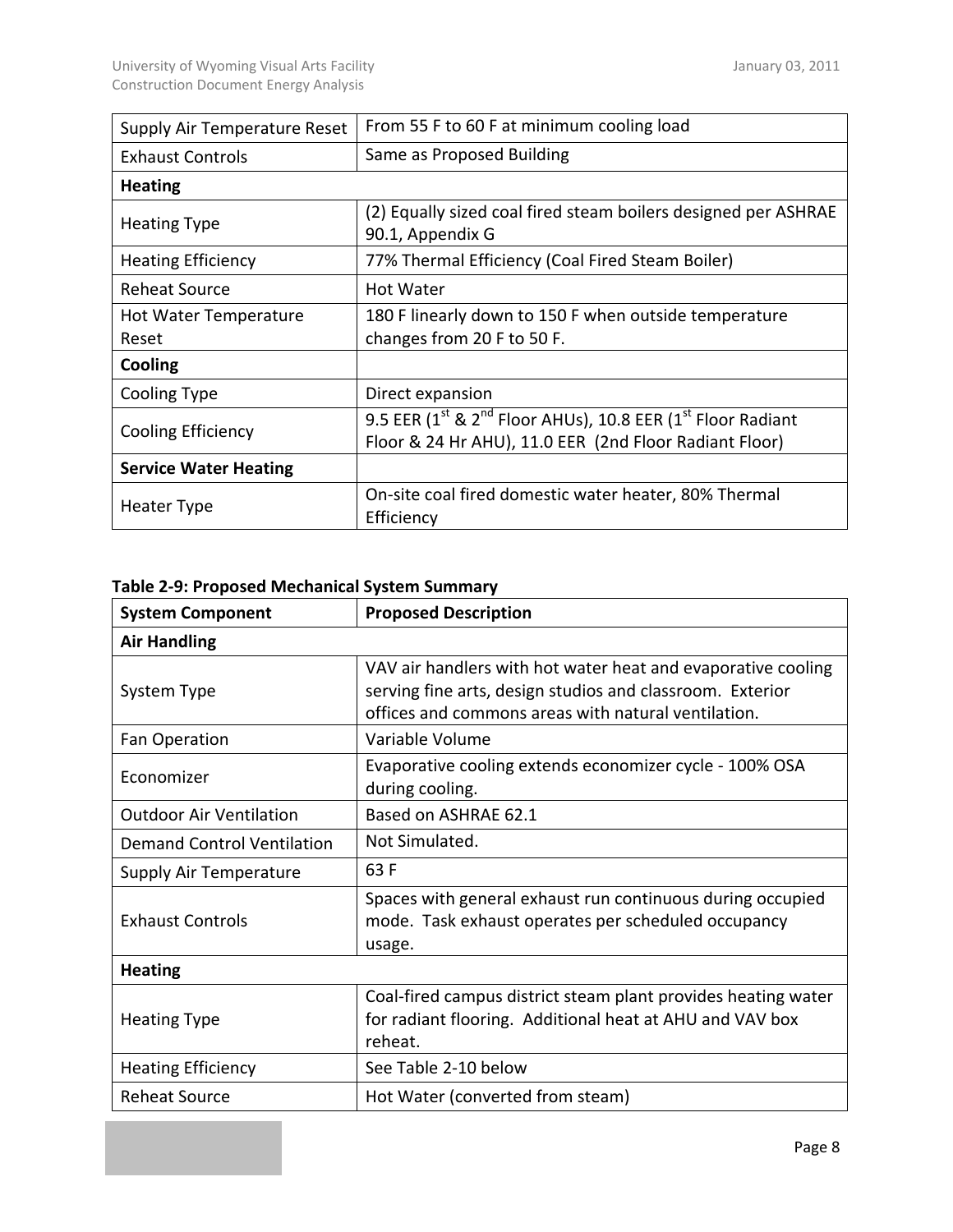| Supply Air Temperature Reset   | From 55 F to 60 F at minimum cooling load                                                                                         |
|--------------------------------|-----------------------------------------------------------------------------------------------------------------------------------|
| <b>Exhaust Controls</b>        | Same as Proposed Building                                                                                                         |
| <b>Heating</b>                 |                                                                                                                                   |
| <b>Heating Type</b>            | (2) Equally sized coal fired steam boilers designed per ASHRAE<br>90.1, Appendix G                                                |
| <b>Heating Efficiency</b>      | 77% Thermal Efficiency (Coal Fired Steam Boiler)                                                                                  |
| Reheat Source                  | <b>Hot Water</b>                                                                                                                  |
| Hot Water Temperature<br>Reset | 180 F linearly down to 150 F when outside temperature<br>changes from 20 F to 50 F.                                               |
| Cooling                        |                                                                                                                                   |
| Cooling Type                   | Direct expansion                                                                                                                  |
| Cooling Efficiency             | 9.5 EER (1st & 2 <sup>nd</sup> Floor AHUs), 10.8 EER (1st Floor Radiant<br>Floor & 24 Hr AHU), 11.0 EER (2nd Floor Radiant Floor) |
| <b>Service Water Heating</b>   |                                                                                                                                   |
| Heater Type                    | On-site coal fired domestic water heater, 80% Thermal<br>Efficiency                                                               |

## **Table 2‐9: Proposed Mechanical System Summary**

| <b>System Component</b>        | <b>Proposed Description</b>                                                                                                                                                      |  |
|--------------------------------|----------------------------------------------------------------------------------------------------------------------------------------------------------------------------------|--|
| <b>Air Handling</b>            |                                                                                                                                                                                  |  |
| System Type                    | VAV air handlers with hot water heat and evaporative cooling<br>serving fine arts, design studios and classroom. Exterior<br>offices and commons areas with natural ventilation. |  |
| Fan Operation                  | Variable Volume                                                                                                                                                                  |  |
| Economizer                     | Evaporative cooling extends economizer cycle - 100% OSA<br>during cooling.                                                                                                       |  |
| <b>Outdoor Air Ventilation</b> | Based on ASHRAF 62.1                                                                                                                                                             |  |
| Demand Control Ventilation     | Not Simulated.                                                                                                                                                                   |  |
| Supply Air Temperature         | 63 F                                                                                                                                                                             |  |
| <b>Exhaust Controls</b>        | Spaces with general exhaust run continuous during occupied<br>mode. Task exhaust operates per scheduled occupancy<br>usage.                                                      |  |
| <b>Heating</b>                 |                                                                                                                                                                                  |  |
| <b>Heating Type</b>            | Coal-fired campus district steam plant provides heating water<br>for radiant flooring. Additional heat at AHU and VAV box<br>reheat.                                             |  |
| <b>Heating Efficiency</b>      | See Table 2-10 below                                                                                                                                                             |  |
| <b>Reheat Source</b>           | Hot Water (converted from steam)                                                                                                                                                 |  |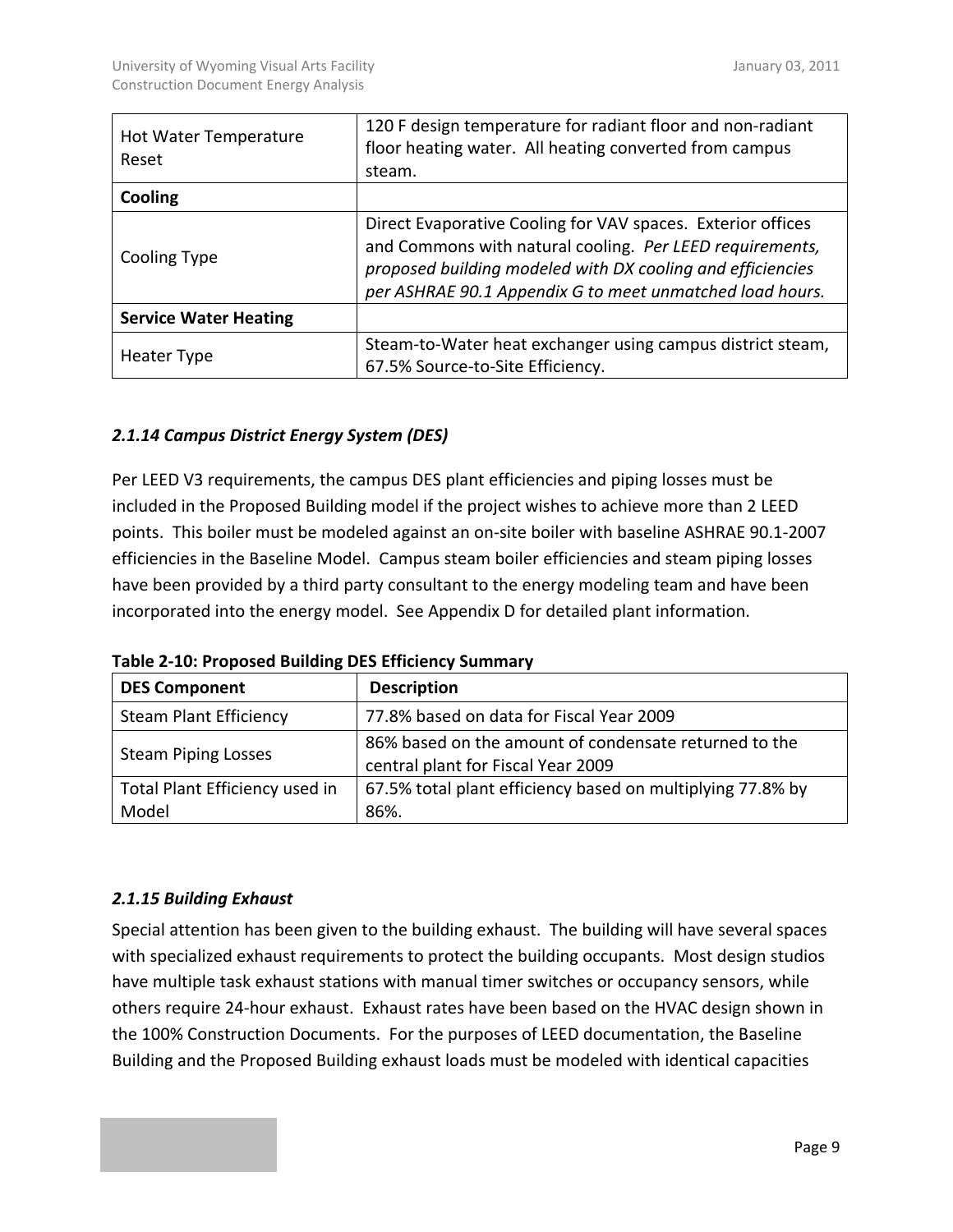| Hot Water Temperature<br>Reset | 120 F design temperature for radiant floor and non-radiant<br>floor heating water. All heating converted from campus<br>steam.                                                                                                                    |
|--------------------------------|---------------------------------------------------------------------------------------------------------------------------------------------------------------------------------------------------------------------------------------------------|
| Cooling                        |                                                                                                                                                                                                                                                   |
| Cooling Type                   | Direct Evaporative Cooling for VAV spaces. Exterior offices<br>and Commons with natural cooling. Per LEED requirements,<br>proposed building modeled with DX cooling and efficiencies<br>per ASHRAE 90.1 Appendix G to meet unmatched load hours. |
| <b>Service Water Heating</b>   |                                                                                                                                                                                                                                                   |
| Heater Type                    | Steam-to-Water heat exchanger using campus district steam,<br>67.5% Source-to-Site Efficiency.                                                                                                                                                    |

## *2.1.14 Campus District Energy System (DES)*

Per LEED V3 requirements, the campus DES plant efficiencies and piping losses must be included in the Proposed Building model if the project wishes to achieve more than 2 LEED points. This boiler must be modeled against an on‐site boiler with baseline ASHRAE 90.1‐2007 efficiencies in the Baseline Model. Campus steam boiler efficiencies and steam piping losses have been provided by a third party consultant to the energy modeling team and have been incorporated into the energy model. See Appendix D for detailed plant information.

| <b>DES Component</b>           | <b>Description</b>                                                                          |
|--------------------------------|---------------------------------------------------------------------------------------------|
| <b>Steam Plant Efficiency</b>  | 77.8% based on data for Fiscal Year 2009                                                    |
| <b>Steam Piping Losses</b>     | 86% based on the amount of condensate returned to the<br>central plant for Fiscal Year 2009 |
| Total Plant Efficiency used in | 67.5% total plant efficiency based on multiplying 77.8% by                                  |
| Model                          | 86%.                                                                                        |

**Table 2‐10: Proposed Building DES Efficiency Summary**

## *2.1.15 Building Exhaust*

Special attention has been given to the building exhaust. The building will have several spaces with specialized exhaust requirements to protect the building occupants. Most design studios have multiple task exhaust stations with manual timer switches or occupancy sensors, while others require 24‐hour exhaust. Exhaust rates have been based on the HVAC design shown in the 100% Construction Documents. For the purposes of LEED documentation, the Baseline Building and the Proposed Building exhaust loads must be modeled with identical capacities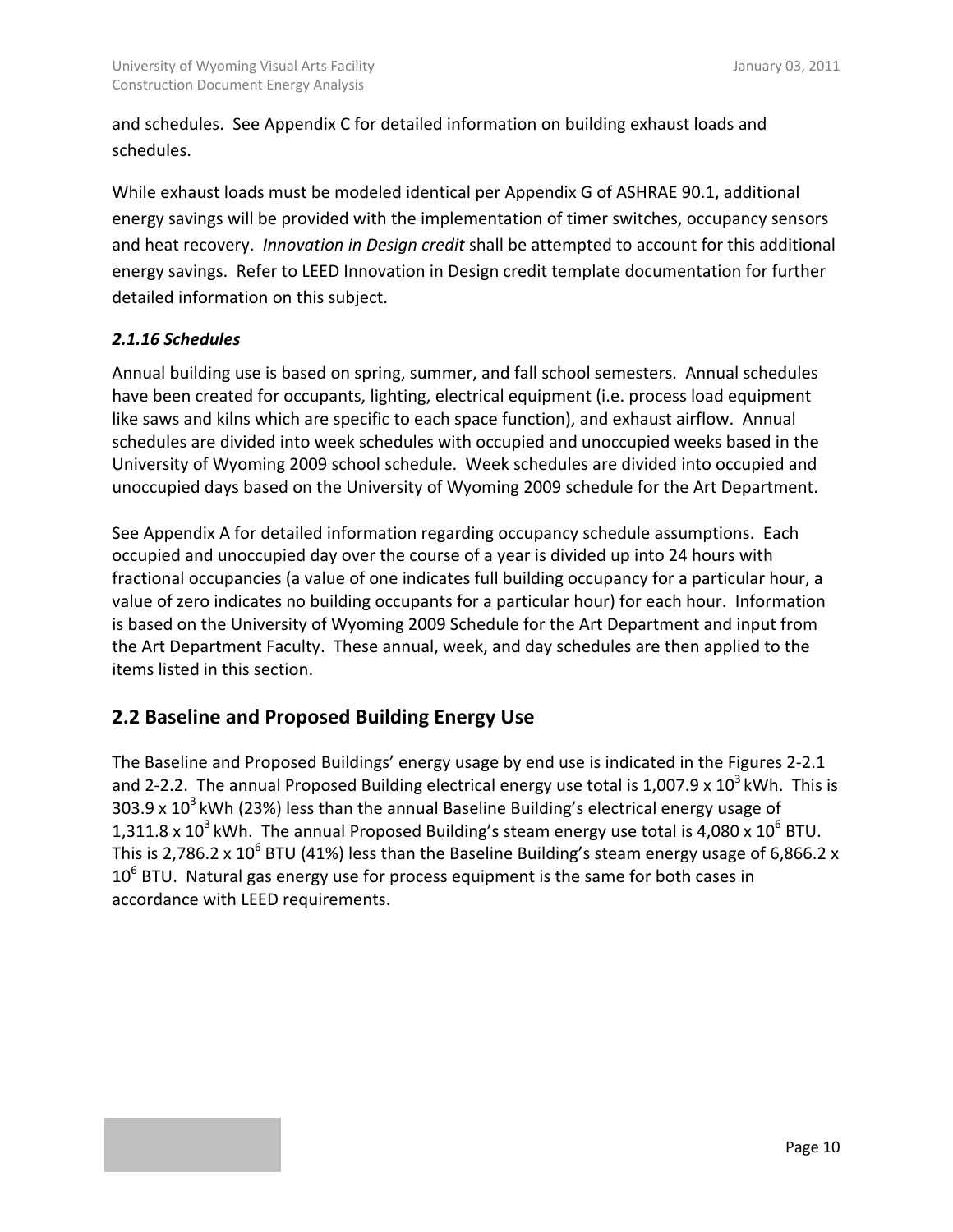and schedules. See Appendix C for detailed information on building exhaust loads and schedules.

While exhaust loads must be modeled identical per Appendix G of ASHRAE 90.1, additional energy savings will be provided with the implementation of timer switches, occupancy sensors and heat recovery. *Innovation in Design credit* shall be attempted to account for this additional energy savings. Refer to LEED Innovation in Design credit template documentation for further detailed information on this subject.

## *2.1.16 Schedules*

Annual building use is based on spring, summer, and fall school semesters. Annual schedules have been created for occupants, lighting, electrical equipment (i.e. process load equipment like saws and kilns which are specific to each space function), and exhaust airflow. Annual schedules are divided into week schedules with occupied and unoccupied weeks based in the University of Wyoming 2009 school schedule. Week schedules are divided into occupied and unoccupied days based on the University of Wyoming 2009 schedule for the Art Department.

See Appendix A for detailed information regarding occupancy schedule assumptions. Each occupied and unoccupied day over the course of a year is divided up into 24 hours with fractional occupancies (a value of one indicates full building occupancy for a particular hour, a value of zero indicates no building occupants for a particular hour) for each hour. Information is based on the University of Wyoming 2009 Schedule for the Art Department and input from the Art Department Faculty. These annual, week, and day schedules are then applied to the items listed in this section.

## **2.2 Baseline and Proposed Building Energy Use**

The Baseline and Proposed Buildings' energy usage by end use is indicated in the Figures 2‐2.1 and 2-2.2. The annual Proposed Building electrical energy use total is 1,007.9 x  $10^3$  kWh. This is 303.9 x  $10^3$  kWh (23%) less than the annual Baseline Building's electrical energy usage of 1,311.8 x  $10^3$  kWh. The annual Proposed Building's steam energy use total is 4,080 x  $10^6$  BTU. This is 2,786.2 x 10<sup>6</sup> BTU (41%) less than the Baseline Building's steam energy usage of 6,866.2 x  $10<sup>6</sup>$  BTU. Natural gas energy use for process equipment is the same for both cases in accordance with LEED requirements.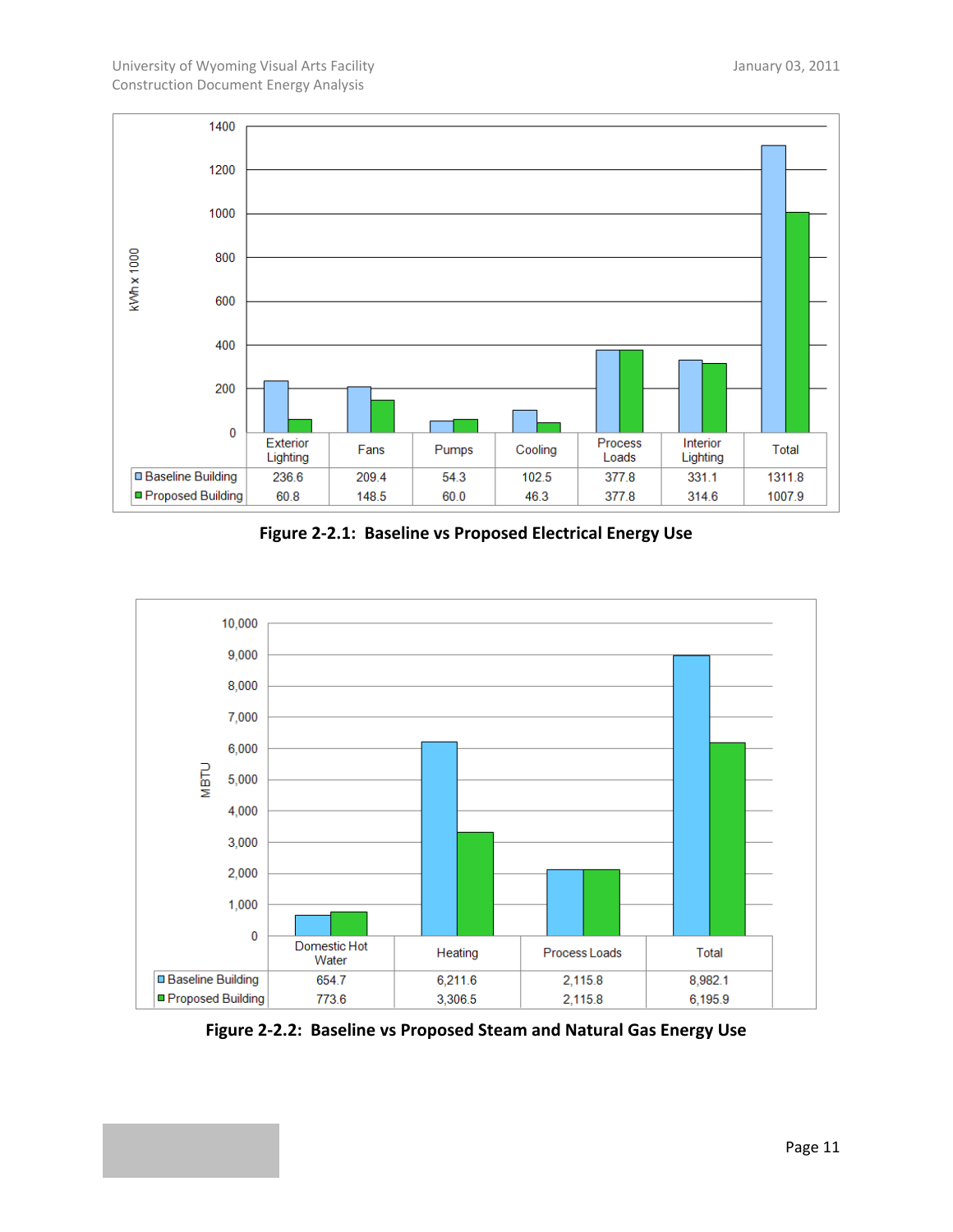

**Figure 2‐2.1: Baseline vs Proposed Electrical Energy Use** 



**Figure 2‐2.2: Baseline vs Proposed Steam and Natural Gas Energy Use**

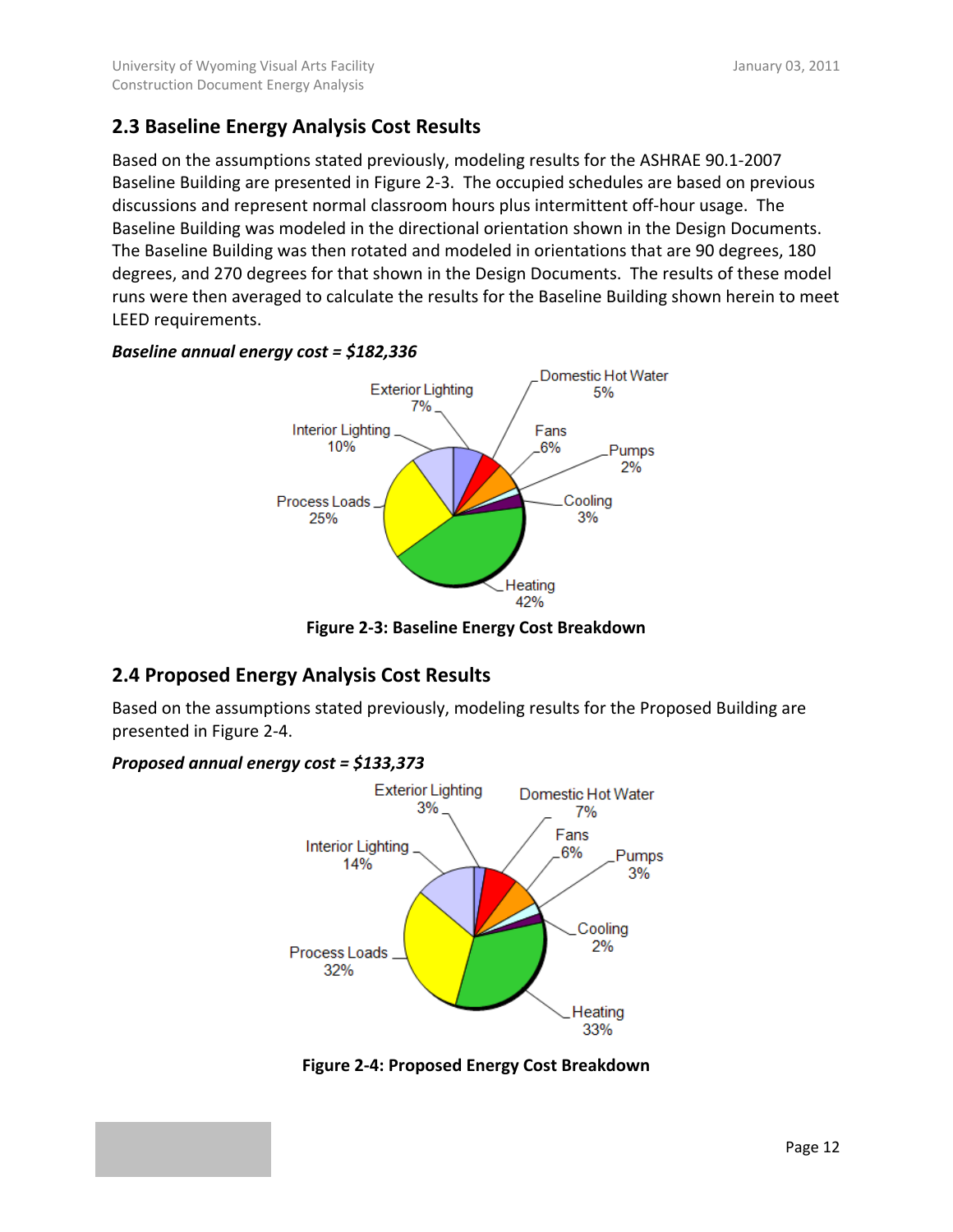## **2.3 Baseline Energy Analysis Cost Results**

Based on the assumptions stated previously, modeling results for the ASHRAE 90.1‐2007 Baseline Building are presented in Figure 2‐3. The occupied schedules are based on previous discussions and represent normal classroom hours plus intermittent off‐hour usage. The Baseline Building was modeled in the directional orientation shown in the Design Documents. The Baseline Building was then rotated and modeled in orientations that are 90 degrees, 180 degrees, and 270 degrees for that shown in the Design Documents. The results of these model runs were then averaged to calculate the results for the Baseline Building shown herein to meet LEED requirements.

## *Baseline annual energy cost = \$182,336*



**Figure 2‐3: Baseline Energy Cost Breakdown**

## **2.4 Proposed Energy Analysis Cost Results**

Based on the assumptions stated previously, modeling results for the Proposed Building are presented in Figure 2‐4.

## *Proposed annual energy cost = \$133,373*



**Figure 2‐4: Proposed Energy Cost Breakdown**

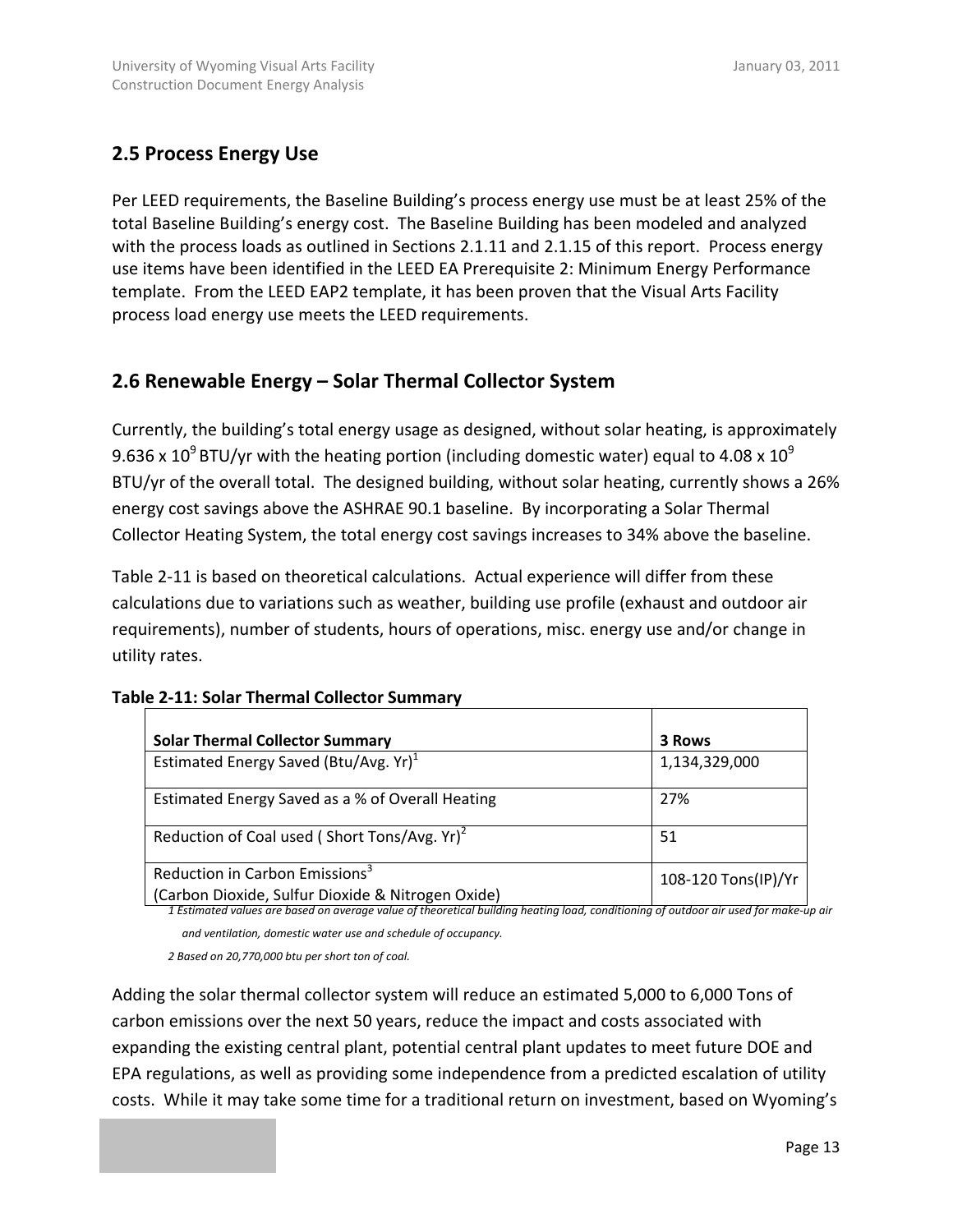## **2.5 Process Energy Use**

Per LEED requirements, the Baseline Building's process energy use must be at least 25% of the total Baseline Building's energy cost. The Baseline Building has been modeled and analyzed with the process loads as outlined in Sections 2.1.11 and 2.1.15 of this report. Process energy use items have been identified in the LEED EA Prerequisite 2: Minimum Energy Performance template. From the LEED EAP2 template, it has been proven that the Visual Arts Facility process load energy use meets the LEED requirements.

## **2.6 Renewable Energy – Solar Thermal Collector System**

Currently, the building's total energy usage as designed, without solar heating, is approximately 9.636 x 10<sup>9</sup> BTU/yr with the heating portion (including domestic water) equal to 4.08 x 10<sup>9</sup> BTU/yr of the overall total. The designed building, without solar heating, currently shows a 26% energy cost savings above the ASHRAE 90.1 baseline. By incorporating a Solar Thermal Collector Heating System, the total energy cost savings increases to 34% above the baseline.

Table 2‐11 is based on theoretical calculations. Actual experience will differ from these calculations due to variations such as weather, building use profile (exhaust and outdoor air requirements), number of students, hours of operations, misc. energy use and/or change in utility rates.

| <b>Solar Thermal Collector Summary</b>                                                          | 3 Rows              |
|-------------------------------------------------------------------------------------------------|---------------------|
| Estimated Energy Saved (Btu/Avg. Yr) <sup>1</sup>                                               | 1,134,329,000       |
| Estimated Energy Saved as a % of Overall Heating                                                | 27%                 |
| Reduction of Coal used (Short Tons/Avg. Yr) <sup>2</sup>                                        | 51                  |
| Reduction in Carbon Emissions <sup>3</sup><br>(Carbon Dioxide, Sulfur Dioxide & Nitrogen Oxide) | 108-120 Tons(IP)/Yr |

## **Table 2‐11: Solar Thermal Collector Summary**

1 Estimated values are based on average value of theoretical building heating load, conditioning of outdoor air used for make-up air *and ventilation, domestic water use and schedule of occupancy.*

*2 Based on 20,770,000 btu per short ton of coal.*

Adding the solar thermal collector system will reduce an estimated 5,000 to 6,000 Tons of carbon emissions over the next 50 years, reduce the impact and costs associated with expanding the existing central plant, potential central plant updates to meet future DOE and EPA regulations, as well as providing some independence from a predicted escalation of utility costs. While it may take some time for a traditional return on investment, based on Wyoming's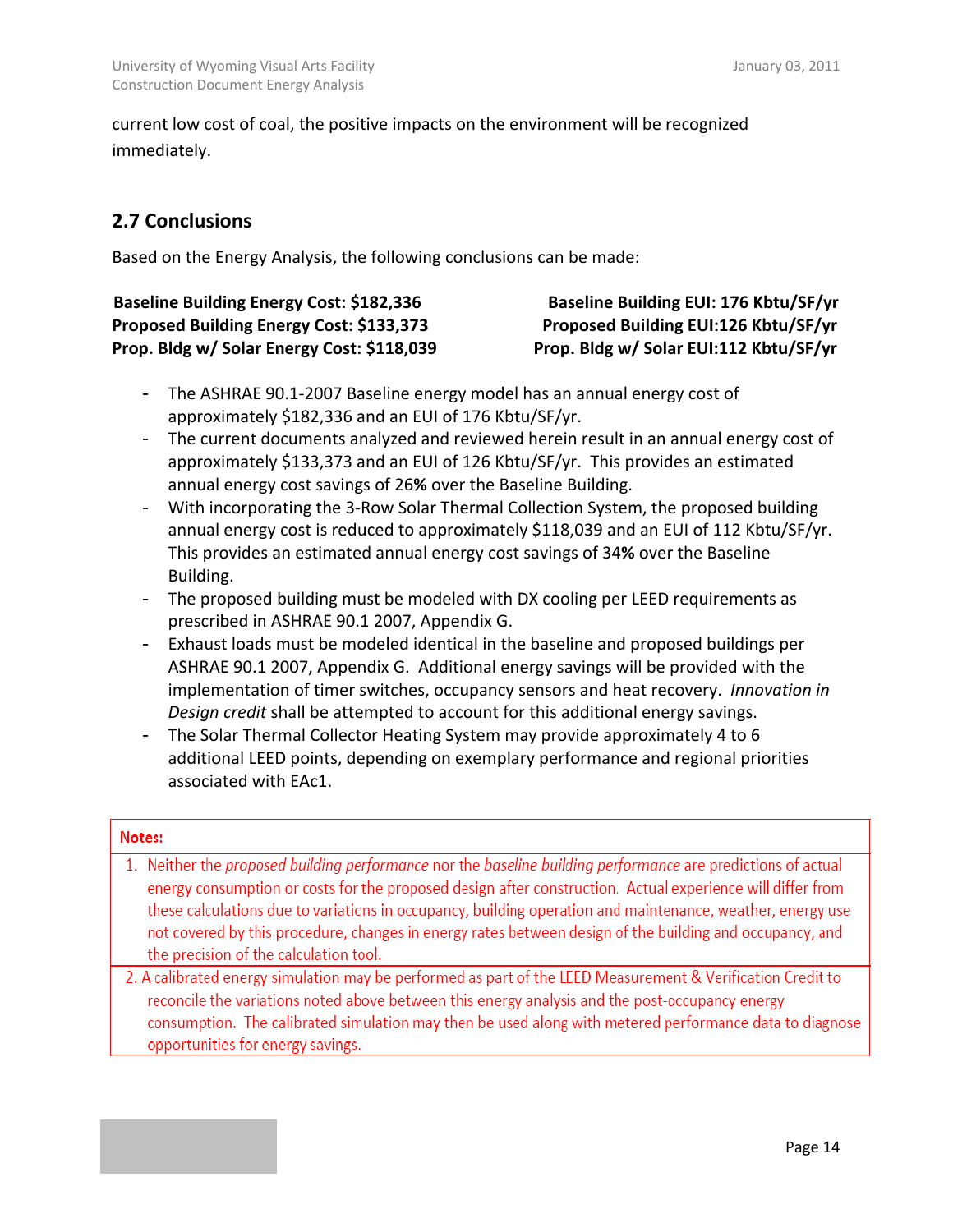current low cost of coal, the positive impacts on the environment will be recognized immediately.

## **2.7 Conclusions**

Based on the Energy Analysis, the following conclusions can be made:

| <b>Baseline Building Energy Cost: \$182,336</b> | Baseline Building EUI: 176 Kbtu/SF/yr  |
|-------------------------------------------------|----------------------------------------|
| Proposed Building Energy Cost: \$133,373        | Proposed Building EUI:126 Kbtu/SF/yr   |
| Prop. Bldg w/ Solar Energy Cost: \$118,039      | Prop. Bldg w/ Solar EUI:112 Kbtu/SF/yr |

- The ASHRAE 90.1‐2007 Baseline energy model has an annual energy cost of approximately \$182,336 and an EUI of 176 Kbtu/SF/yr.
- The current documents analyzed and reviewed herein result in an annual energy cost of approximately \$133,373 and an EUI of 126 Kbtu/SF/yr. This provides an estimated annual energy cost savings of 26**%** over the Baseline Building.
- With incorporating the 3‐Row Solar Thermal Collection System, the proposed building annual energy cost is reduced to approximately \$118,039 and an EUI of 112 Kbtu/SF/yr. This provides an estimated annual energy cost savings of 34**%** over the Baseline Building.
- The proposed building must be modeled with DX cooling per LEED requirements as prescribed in ASHRAE 90.1 2007, Appendix G.
- Exhaust loads must be modeled identical in the baseline and proposed buildings per ASHRAE 90.1 2007, Appendix G. Additional energy savings will be provided with the implementation of timer switches, occupancy sensors and heat recovery. *Innovation in Design credit* shall be attempted to account for this additional energy savings.
- The Solar Thermal Collector Heating System may provide approximately 4 to 6 additional LEED points, depending on exemplary performance and regional priorities associated with EAc1.

## Notes:

- 1. Neither the proposed building performance nor the baseline building performance are predictions of actual energy consumption or costs for the proposed design after construction. Actual experience will differ from these calculations due to variations in occupancy, building operation and maintenance, weather, energy use not covered by this procedure, changes in energy rates between design of the building and occupancy, and the precision of the calculation tool.
- 2. A calibrated energy simulation may be performed as part of the LEED Measurement & Verification Credit to reconcile the variations noted above between this energy analysis and the post-occupancy energy consumption. The calibrated simulation may then be used along with metered performance data to diagnose opportunities for energy savings.

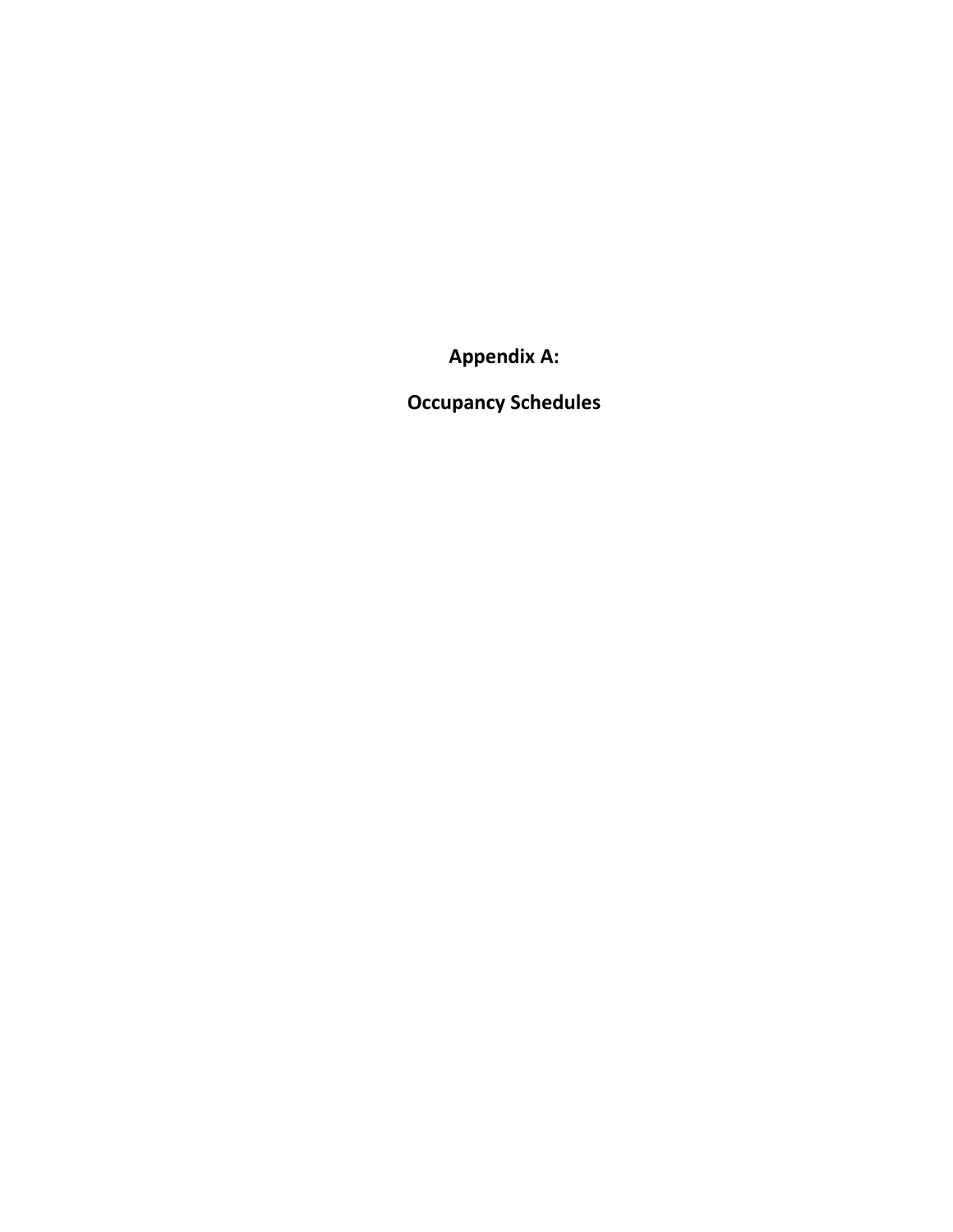**Appendix A:** 

**Occupancy Schedules**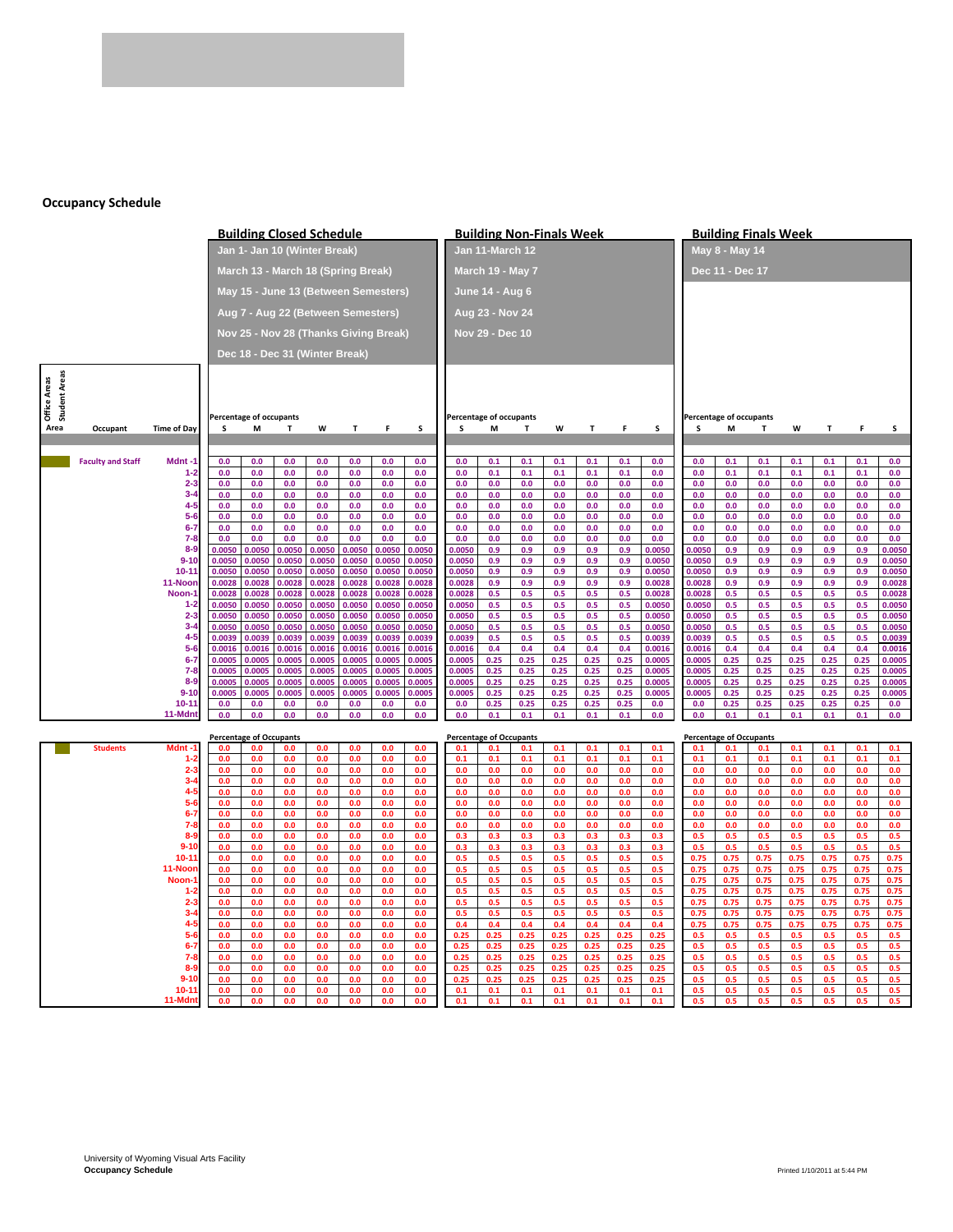#### **Occupancy Schedule**

|                               |                          |                      |                                       |                                     | <b>Building Closed Schedule</b>      |                  |                  |                  |                  |                                | <b>Building Non-Finals Week</b>     |              |                |                |                 |                  | <b>Building Finals Week</b>    |                |                |              |              |              |                  |
|-------------------------------|--------------------------|----------------------|---------------------------------------|-------------------------------------|--------------------------------------|------------------|------------------|------------------|------------------|--------------------------------|-------------------------------------|--------------|----------------|----------------|-----------------|------------------|--------------------------------|----------------|----------------|--------------|--------------|--------------|------------------|
|                               |                          |                      |                                       |                                     | Jan 1- Jan 10 (Winter Break)         |                  |                  |                  |                  |                                | Jan 11-March 12                     |              |                |                |                 |                  | May 8 - May 14                 |                |                |              |              |              |                  |
|                               |                          |                      |                                       |                                     | March 13 - March 18 (Spring Break)   |                  |                  |                  |                  | March 19 - May 7               |                                     |              |                |                | Dec 11 - Dec 17 |                  |                                |                |                |              |              |              |                  |
|                               |                          |                      |                                       |                                     | May 15 - June 13 (Between Semesters) |                  |                  |                  |                  | <b>June 14 - Aug 6</b>         |                                     |              |                |                |                 |                  |                                |                |                |              |              |              |                  |
|                               |                          |                      | Aug 7 - Aug 22 (Between Semesters)    |                                     |                                      |                  |                  |                  | Aug 23 - Nov 24  |                                |                                     |              |                |                |                 |                  |                                |                |                |              |              |              |                  |
|                               |                          |                      | Nov 25 - Nov 28 (Thanks Giving Break) |                                     |                                      |                  |                  |                  | Nov 29 - Dec 10  |                                |                                     |              |                |                |                 |                  |                                |                |                |              |              |              |                  |
|                               |                          |                      |                                       |                                     | Dec 18 - Dec 31 (Winter Break)       |                  |                  |                  |                  |                                |                                     |              |                |                |                 |                  |                                |                |                |              |              |              |                  |
|                               |                          |                      |                                       |                                     |                                      |                  |                  |                  |                  |                                |                                     |              |                |                |                 |                  |                                |                |                |              |              |              |                  |
|                               |                          |                      |                                       |                                     |                                      |                  |                  |                  |                  |                                |                                     |              |                |                |                 |                  |                                |                |                |              |              |              |                  |
| Office Areas<br>Student Areas |                          |                      |                                       |                                     |                                      |                  |                  |                  |                  |                                |                                     |              |                |                |                 |                  |                                |                |                |              |              |              |                  |
| Area                          | Occupant                 | <b>Time of Day</b>   | s                                     | <b>Percentage of occupants</b><br>М | $\mathbf{r}$                         | W                | T                | F                | s                | s                              | <b>Percentage of occupants</b><br>М | T            | W              | $\mathsf{T}$   | F               | s                | Percentage of occupants<br>s   | М              | T.             | W            | T.           | F            | s                |
|                               |                          |                      |                                       |                                     |                                      |                  |                  |                  |                  |                                |                                     |              |                |                |                 |                  |                                |                |                |              |              |              |                  |
|                               | <b>Faculty and Staff</b> | Mdnt-1               | 0.0                                   | 0.0                                 | 0.0                                  | 0.0              | 0.0              | 0.0              | 0.0              | 0.0                            | 0.1                                 | 0.1          | 0.1            | 0.1            | $0.1\,$         | 0.0              | 0.0                            | 0.1            | 0.1            | 0.1          | 0.1          | 0.1          | 0.0              |
|                               |                          | $1 - 2$              | 0.0                                   | 0.0                                 | 0.0                                  | 0.0              | 0.0              | 0.0              | 0.0              | 0.0                            | 0.1                                 | 0.1          | 0.1            | 0.1            | 0.1             | 0.0              | 0.0                            | 0.1            | 0.1            | 0.1          | 0.1          | 0.1          | 0.0              |
|                               |                          | $2 - 3$<br>$3 - 4$   | 0.0<br>0.0                            | 0.0<br>$0.0\,$                      | 0.0<br>0.0                           | 0.0<br>0.0       | 0.0<br>$0.0\,$   | 0.0<br>$0.0\,$   | 0.0<br>0.0       | 0.0<br>$0.0\,$                 | 0.0<br>$0.0\,$                      | 0.0<br>0.0   | 0.0<br>0.0     | 0.0<br>0.0     | 0.0<br>0.0      | 0.0<br>0.0       | 0.0<br>0.0                     | 0.0<br>0.0     | 0.0<br>0.0     | 0.0<br>0.0   | 0.0<br>0.0   | 0.0<br>0.0   | 0.0<br>0.0       |
|                               |                          | $4 - 5$<br>$5-6$     | 0.0<br>0.0                            | 0.0<br>$0.0\,$                      | 0.0<br>0.0                           | 0.0<br>0.0       | 0.0<br>0.0       | 0.0<br>0.0       | 0.0<br>0.0       | 0.0<br>0.0                     | 0.0<br>$0.0\,$                      | 0.0<br>0.0   | 0.0<br>0.0     | 0.0<br>0.0     | 0.0<br>0.0      | 0.0<br>0.0       | 0.0<br>0.0                     | 0.0<br>0.0     | 0.0<br>0.0     | 0.0<br>0.0   | 0.0<br>0.0   | 0.0<br>0.0   | 0.0<br>0.0       |
|                               |                          | $6 - 7$              | 0.0                                   | 0.0                                 | 0.0                                  | 0.0              | 0.0              | 0.0              | 0.0              | 0.0                            | 0.0                                 | 0.0          | 0.0            | 0.0            | 0.0             | 0.0              | 0.0                            | 0.0            | 0.0            | 0.0          | 0.0          | 0.0          | 0.0              |
|                               |                          | $7-8$<br>$8-9$       | 0.0<br>0.0050                         | 0.0<br>0.0050                       | 0.0<br>0.0050                        | 0.0<br>0.0050    | 0.0<br>0.0050    | 0.0<br>0.0050    | 0.0<br>0.0050    | 0.0<br>0.0050                  | $0.0\,$<br>0.9                      | 0.0<br>0.9   | 0.0<br>0.9     | 0.0<br>0.9     | 0.0<br>0.9      | 0.0<br>0.0050    | 0.0<br>0.0050                  | 0.0<br>0.9     | 0.0<br>0.9     | 0.0<br>0.9   | 0.0<br>0.9   | 0.0<br>0.9   | 0.0<br>0.0050    |
|                               |                          | $9 - 10$             | 0.0050                                | 0.0050                              | 0.0050                               | 0.0050           | 0.0050           | 0.0050           | 0.0050           | 0.0050                         | 0.9                                 | 0.9          | 0.9            | 0.9            | 0.9             | 0.0050           | 0.0050                         | 0.9            | 0.9            | 0.9          | 0.9          | 0.9          | 0.0050           |
|                               |                          | $10 - 11$<br>11-Noon | 0.0050<br>0.0028                      | 0.0050<br>0.0028                    | 0.0050<br>0.0028                     | 0.0050<br>0.0028 | 0.0050<br>0.0028 | 0.0050<br>0.0028 | 0.005<br>0.0028  | 0.0050<br>0.0028               | 0.9<br>0.9                          | 0.9<br>0.9   | 0.9<br>0.9     | 0.9<br>0.9     | 0.9<br>0.9      | 0.0050<br>0.0028 | 0.0050<br>0.0028               | 0.9<br>0.9     | 0.9<br>0.9     | 0.9<br>0.9   | 0.9<br>0.9   | 0.9<br>0.9   | 0.0050<br>0.0028 |
|                               |                          | Noon-1               | 0.0028                                | 0.0028                              | 0.0028                               | 0.0028           | 0.0028           | 0.0028           | 0.0028           | 0.0028                         | 0.5                                 | 0.5          | 0.5            | 0.5            | 0.5             | 0.0028           | 0.0028                         | 0.5            | 0.5            | 0.5          | 0.5          | 0.5          | 0.0028           |
|                               |                          | $1 - 2$<br>$2 - 3$   | 0.0050<br>0.0050                      | 0.0050<br>0.0050                    | 0.0050<br>0.0050                     | 0.0050<br>0.0050 | 0.0050<br>0.0050 | 0.0050<br>0.0050 | 0.0050<br>0.0050 | 0.0050<br>0.0050               | 0.5<br>0.5                          | 0.5<br>0.5   | 0.5<br>0.5     | 0.5<br>0.5     | $0.5\,$<br>0.5  | 0.0050<br>0.0050 | 0.0050<br>0.0050               | 0.5<br>0.5     | $0.5\,$<br>0.5 | 0.5<br>0.5   | 0.5<br>0.5   | 0.5<br>0.5   | 0.0050<br>0.0050 |
|                               |                          | $3 - 4$<br>$4 - 5$   | 0.0050<br>0.0039                      | 0.0050<br>0.0039                    | 0.0050<br>0.0039                     | 0.0050<br>0.0039 | 0.0050<br>0.0039 | 0.0050<br>0.0039 | 0.0050<br>0.0039 | 0.0050<br>0.0039               | 0.5<br>0.5                          | 0.5<br>0.5   | 0.5<br>0.5     | 0.5<br>0.5     | 0.5<br>0.5      | 0.0050<br>0.0039 | 0.0050<br>0.0039               | 0.5<br>0.5     | 0.5<br>0.5     | 0.5<br>0.5   | 0.5<br>0.5   | 0.5<br>0.5   | 0.0050<br>0.0039 |
|                               |                          | $5-6$                | 0.0016                                | 0.0016                              | 0.0016                               | 0.0016           | 0.0016           | 0.0016           | 0.0016           | 0.0016                         | 0.4                                 | 0.4          | 0.4            | 0.4            | 0.4             | 0.0016           | 0.0016                         | 0.4            | 0.4            | 0.4          | 0.4          | 0.4          | 0.0016           |
|                               |                          | $6 - 7$<br>$7 - 8$   | 0.0005<br>0.0005                      | 0.0005<br>0.000!                    | 0.0005<br>0.0005                     | 0.0005<br>0.0005 | 0.0005<br>0.0005 | 0.0005<br>0.0005 | 0.0005<br>0.0005 | 0.0005<br>0.0005               | 0.25<br>0.25                        | 0.25<br>0.25 | 0.25<br>0.25   | 0.25<br>0.25   | 0.25<br>0.25    | 0.0005<br>0.0005 | 0.0005<br>0.0005               | 0.25<br>0.25   | 0.25<br>0.25   | 0.25<br>0.25 | 0.25<br>0.25 | 0.25<br>0.25 | 0.0005<br>0.0005 |
|                               |                          | $8-9$                | 0.0005                                | 0.0005                              | 0.0005                               | 0.0005           | 0.0005           | 0.0005           | 0.0005           | 0.0005                         | 0.25                                | 0.25         | 0.25           | 0.25           | 0.25            | 0.0005           | 0.0005                         | 0.25           | 0.25           | 0.25         | 0.25         | 0.25         | 0.0005           |
|                               |                          | $9 - 10$<br>$10 - 1$ | 0.0005<br>$0.0\,$                     | 0.0005<br>$0.0\,$                   | 0.0005<br>0.0                        | 0.0005<br>0.0    | 0.0005<br>0.0    | 0.0005<br>0.0    | 0.0005<br>0.0    | 0.0005<br>$0.0\,$              | 0.25<br>0.25                        | 0.25<br>0.25 | 0.25<br>0.25   | 0.25<br>0.25   | 0.25<br>0.25    | 0.0005<br>0.0    | 0.0005<br>0.0                  | 0.25<br>0.25   | 0.25<br>0.25   | 0.25<br>0.25 | 0.25<br>0.25 | 0.25<br>0.25 | 0.0005<br>0.0    |
|                               |                          | 11-Mdn               | 0.0                                   | 0.0                                 | 0.0                                  | 0.0              | 0.0              | $0.0\,$          | 0.0              | 0.0                            | $0.1\,$                             | $0.1\,$      | 0.1            | 0.1            | 0.1             | 0.0              | 0.0                            | $0.1\,$        | 0.1            | 0.1          | 0.1          | 0.1          | 0.0              |
|                               |                          |                      |                                       | <b>Percentage of Occupants</b>      |                                      |                  |                  |                  |                  | <b>Percentage of Occupants</b> |                                     |              |                |                |                 |                  | <b>Percentage of Occupants</b> |                |                |              |              |              |                  |
|                               | <b>Students</b>          | Mdnt-1               | 0.0<br>0.0                            | 0.0<br>0.0                          | 0.0<br>0.0                           | 0.0<br>0.0       | 0.0<br>0.0       | 0.0<br>0.0       | 0.0<br>0.0       | 0.1                            | 0.1<br>0.1                          | 0.1<br>0.1   | 0.1<br>0.1     | 0.1<br>0.1     | 0.1<br>0.1      | 0.1<br>0.1       | 0.1<br>0.1                     | 0.1<br>0.1     | $0.1\,$<br>0.1 | 0.1<br>0.1   | 0.1<br>0.1   | 0.1<br>0.1   | 0.1<br>0.1       |
|                               |                          | $2 - 3$              | 0.0                                   | 0.0                                 | 0.0                                  | 0.0              | 0.0              | 0.0              | 0.0              | 0.0                            | 0.0                                 | 0.0          | 0.0            | 0.0            | 0.0             | 0.0              | 0.0                            | 0.0            | $0.0\,$        | 0.0          | 0.0          | 0.0          | 0.0              |
|                               |                          | $3 - 4$<br>$4 - 5$   | 0.0<br>0.0                            | 0.0<br>0.0                          | 0.0<br>0.0                           | 0.0<br>0.0       | 0.0<br>0.0       | 0.0<br>0.0       | 0.0<br>0.0       | 0.0<br>0.0                     | 0.0<br>0.0                          | 0.0<br>0.0   | 0.0<br>0.0     | 0.0<br>0.0     | 0.0<br>0.0      | 0.0<br>0.0       | 0.0<br>0.0                     | 0.0<br>0.0     | 0.0<br>0.0     | 0.0<br>0.0   | 0.0<br>0.0   | 0.0<br>0.0   | 0.0<br>0.0       |
|                               |                          | $5 - 6$<br>$6 - 7$   | 0.0<br>0.0                            | 0.0<br>0.0                          | 0.0<br>0.0                           | 0.0<br>0.0       | 0.0<br>0.0       | 0.0<br>0.0       | 0.0<br>0.0       | 0.0<br>0.0                     | 0.0<br>0.0                          | 0.0<br>0.0   | 0.0<br>0.0     | 0.0<br>0.0     | 0.0<br>0.0      | 0.0<br>0.0       | 0.0<br>0.0                     | 0.0<br>0.0     | 0.0<br>0.0     | 0.0<br>0.0   | 0.0<br>0.0   | 0.0<br>0.0   | 0.0<br>0.0       |
|                               |                          | $7 - 8$              | 0.0                                   | 0.0                                 | 0.0                                  | 0.0              | 0.0              | 0.0              | 0.0              | 0.0                            | 0.0                                 | 0.0          | 0.0            | 0.0            | 0.0             | 0.0              | 0.0                            | 0.0            | 0.0            | 0.0          | 0.0          | 0.0          | 0.0              |
|                               |                          | $8 - 9$<br>$9 - 10$  | 0.0<br>0.0                            | 0.0<br>0.0                          | 0.0<br>0.0                           | 0.0<br>0.0       | 0.0<br>0.0       | 0.0<br>0.0       | 0.0<br>0.0       | 0.3<br>0.3                     | 0.3<br>0.3                          | 0.3<br>0.3   | 0.3<br>0.3     | 0.3<br>0.3     | 0.3<br>0.3      | 0.3<br>0.3       | 0.5<br>0.5                     | $0.5\,$<br>0.5 | 0.5<br>0.5     | 0.5<br>0.5   | 0.5<br>0.5   | 0.5<br>0.5   | $0.5\,$<br>0.5   |
|                               |                          | $10 - 1'$            | 0.0                                   | 0.0                                 | 0.0                                  | 0.0              | 0.0              | 0.0              | 0.0              | 0.5                            | 0.5                                 | 0.5          | 0.5            | 0.5            | 0.5             | 0.5              | 0.75                           | 0.75           | 0.75           | 0.75         | 0.75         | 0.75         | 0.75             |
|                               |                          | 11-Noor<br>Noon-     | 0.0<br>0.0                            | 0.0<br>0.0                          | 0.0<br>$0.0\,$                       | 0.0<br>0.0       | 0.0<br>0.0       | 0.0<br>0.0       | 0.0<br>0.0       | 0.5<br>0.5                     | 0.5<br>0.5                          | 0.5<br>0.5   | 0.5<br>0.5     | 0.5<br>0.5     | 0.5<br>0.5      | 0.5<br>0.5       | 0.75<br>0.75                   | 0.75<br>0.75   | 0.75<br>0.75   | 0.75<br>0.75 | 0.75<br>0.75 | 0.75<br>0.75 | 0.75<br>0.75     |
|                               |                          | 1-1<br>2-3           | 0.0<br>0.0                            | 0.0<br>0.0                          | 0.0<br>0.0                           | 0.0<br>0.0       | 0.0<br>$0.0\,$   | 0.0<br>$0.0\,$   | 0.0<br>0.0       | 0.5<br>0.5                     | 0.5<br>0.5                          | 0.5<br>0.5   | 0.5<br>$0.5\,$ | 0.5<br>$0.5\,$ | 0.5<br>0.5      | 0.5<br>$0.5\,$   | 0.75<br>0.75                   | 0.75<br>0.75   | 0.75<br>0.75   | 0.75<br>0.75 | 0.75<br>0.75 | 0.75<br>0.75 | 0.75<br>0.75     |
|                               |                          | $3 - 4$              | $0.0\,$                               | 0.0                                 | 0.0                                  | 0.0              | 0.0              | 0.0              | 0.0              | 0.5                            | $0.5\,$                             | 0.5          | 0.5            | $0.5\,$        | $0.5\,$         | $0.5\,$          | 0.75                           | 0.75           | 0.75           | 0.75         | 0.75         | 0.75         | 0.75             |
|                               |                          | $4 - 5$<br>$5 - 6$   | 0.0<br>0.0                            | 0.0<br>0.0                          | 0.0<br>0.0                           | 0.0<br>0.0       | 0.0<br>0.0       | 0.0<br>0.0       | 0.0<br>0.0       | 0.4<br>0.25                    | 0.4<br>0.25                         | 0.4<br>0.25  | 0.4<br>0.25    | 0.4<br>0.25    | 0.4<br>0.25     | 0.4<br>0.25      | 0.75<br>0.5                    | 0.75<br>0.5    | 0.75<br>0.5    | 0.75<br>0.5  | 0.75<br>0.5  | 0.75<br>0.5  | 0.75<br>0.5      |
|                               |                          | $6 - 7$              | 0.0                                   | 0.0                                 | 0.0                                  | 0.0              | 0.0              | 0.0              | 0.0              | 0.25                           | 0.25                                | 0.25         | 0.25           | 0.25           | 0.25            | 0.25             | 0.5                            | 0.5            | 0.5            | 0.5          | 0.5          | 0.5          | 0.5              |
|                               |                          | $7 - 8$<br>$8 - 9$   | 0.0<br>0.0                            | 0.0<br>0.0                          | 0.0<br>0.0                           | 0.0<br>0.0       | 0.0<br>0.0       | 0.0<br>0.0       | 0.0<br>0.0       | 0.25<br>0.25                   | 0.25<br>0.25                        | 0.25<br>0.25 | 0.25<br>0.25   | 0.25<br>0.25   | 0.25<br>0.25    | 0.25<br>0.25     | 0.5<br>0.5                     | 0.5<br>0.5     | 0.5<br>0.5     | 0.5<br>0.5   | 0.5<br>0.5   | 0.5<br>0.5   | 0.5<br>0.5       |
|                               |                          | $9-10$<br>$10 - 11$  | 0.0<br>0.0                            | 0.0<br>0.0                          | 0.0<br>0.0                           | 0.0<br>0.0       | 0.0<br>0.0       | 0.0<br>0.0       | 0.0<br>0.0       | 0.25<br>0.1                    | 0.25<br>0.1                         | 0.25<br>0.1  | 0.25<br>0.1    | 0.25<br>0.1    | 0.25<br>0.1     | 0.25<br>0.1      | 0.5<br>0.5                     | 0.5<br>0.5     | 0.5<br>0.5     | 0.5<br>0.5   | 0.5<br>0.5   | 0.5<br>0.5   | 0.5<br>0.5       |
|                               |                          | 11-Mdnt              | 0.0                                   | 0.0                                 | 0.0                                  | 0.0              | 0.0              | 0.0              | 0.0              | 0.1                            | 0.1                                 | 0.1          | 0.1            | 0.1            | 0.1             | 0.1              | 0.5                            | 0.5            | 0.5            | 0.5          | 0.5          |              | 0.5              |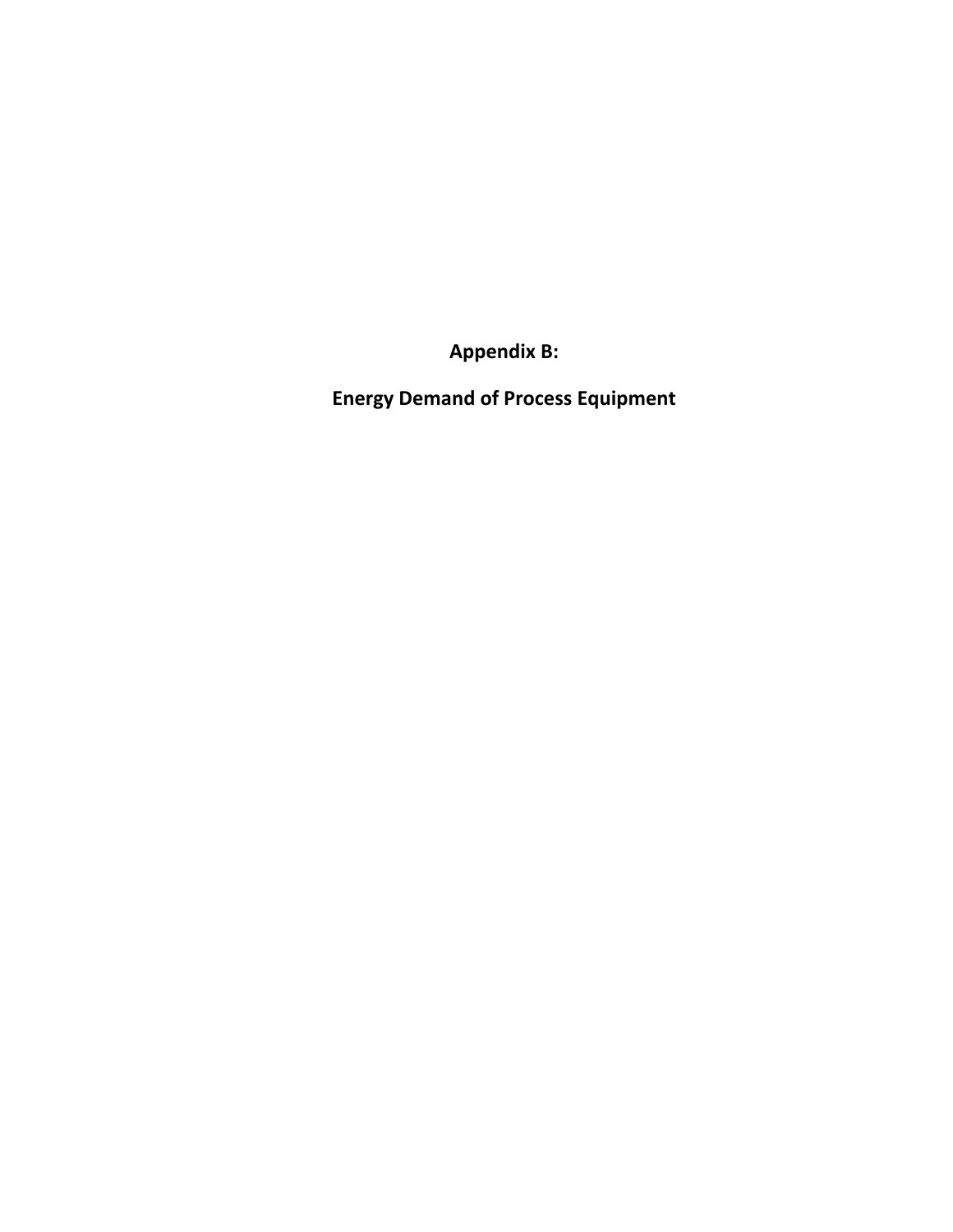**Appendix B:** 

**Energy Demand of Process Equipment**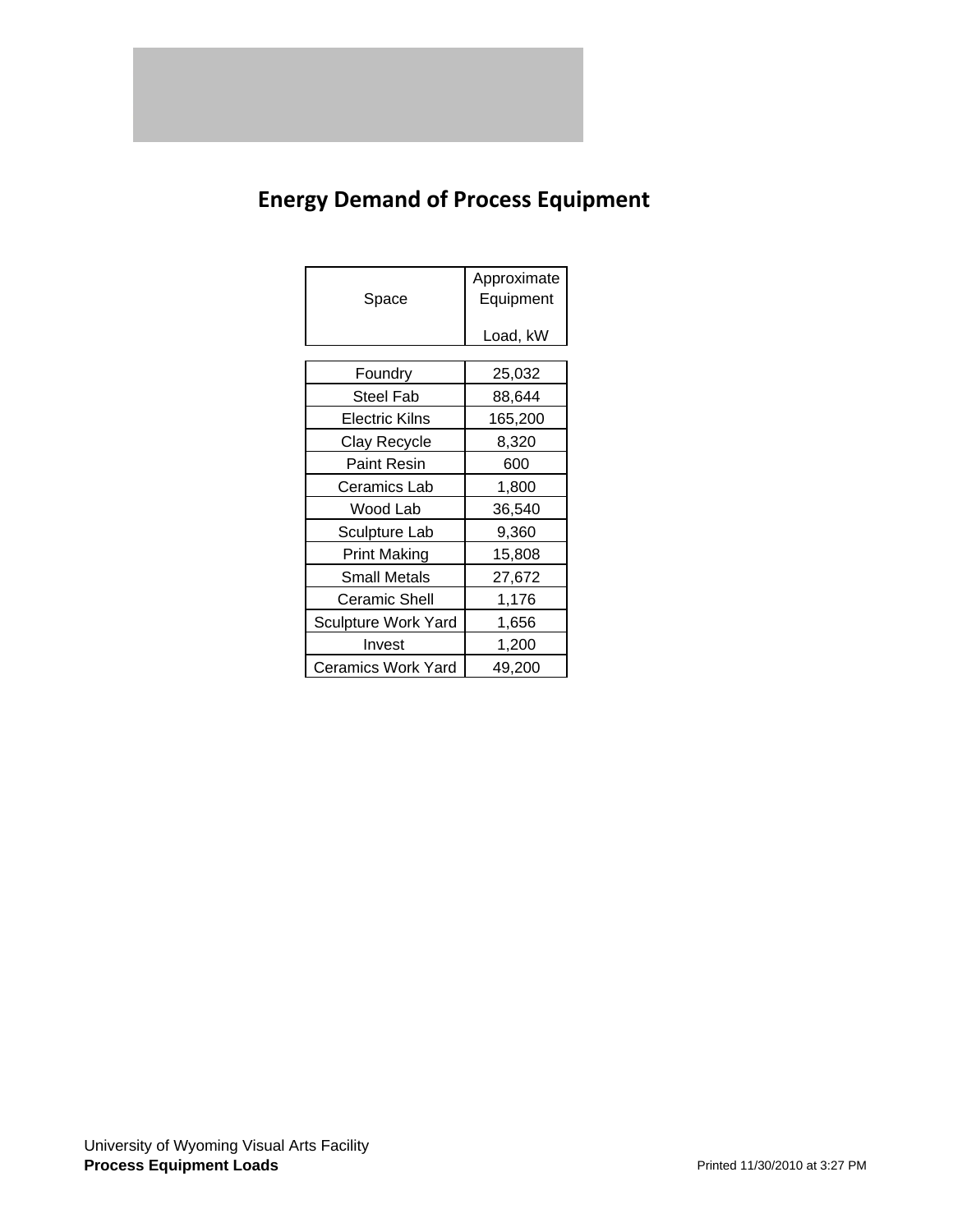

# **Energy Demand of Process Equipment**

| Space                      | Approximate<br>Equipment |
|----------------------------|--------------------------|
|                            | Load, kW                 |
|                            |                          |
| Foundry                    | 25,032                   |
| Steel Fab                  | 88,644                   |
| Electric Kilns             | 165,200                  |
| Clay Recycle               | 8,320                    |
| Paint Resin                | 600                      |
| Ceramics Lab               | 1,800                    |
| Wood Lab                   | 36,540                   |
| Sculpture Lab              | 9,360                    |
| Print Making               | 15,808                   |
| <b>Small Metals</b>        | 27,672                   |
| Ceramic Shell              | 1,176                    |
| <b>Sculpture Work Yard</b> | 1,656                    |
| Invest                     | 1,200                    |
| <b>Ceramics Work Yard</b>  | 49,200                   |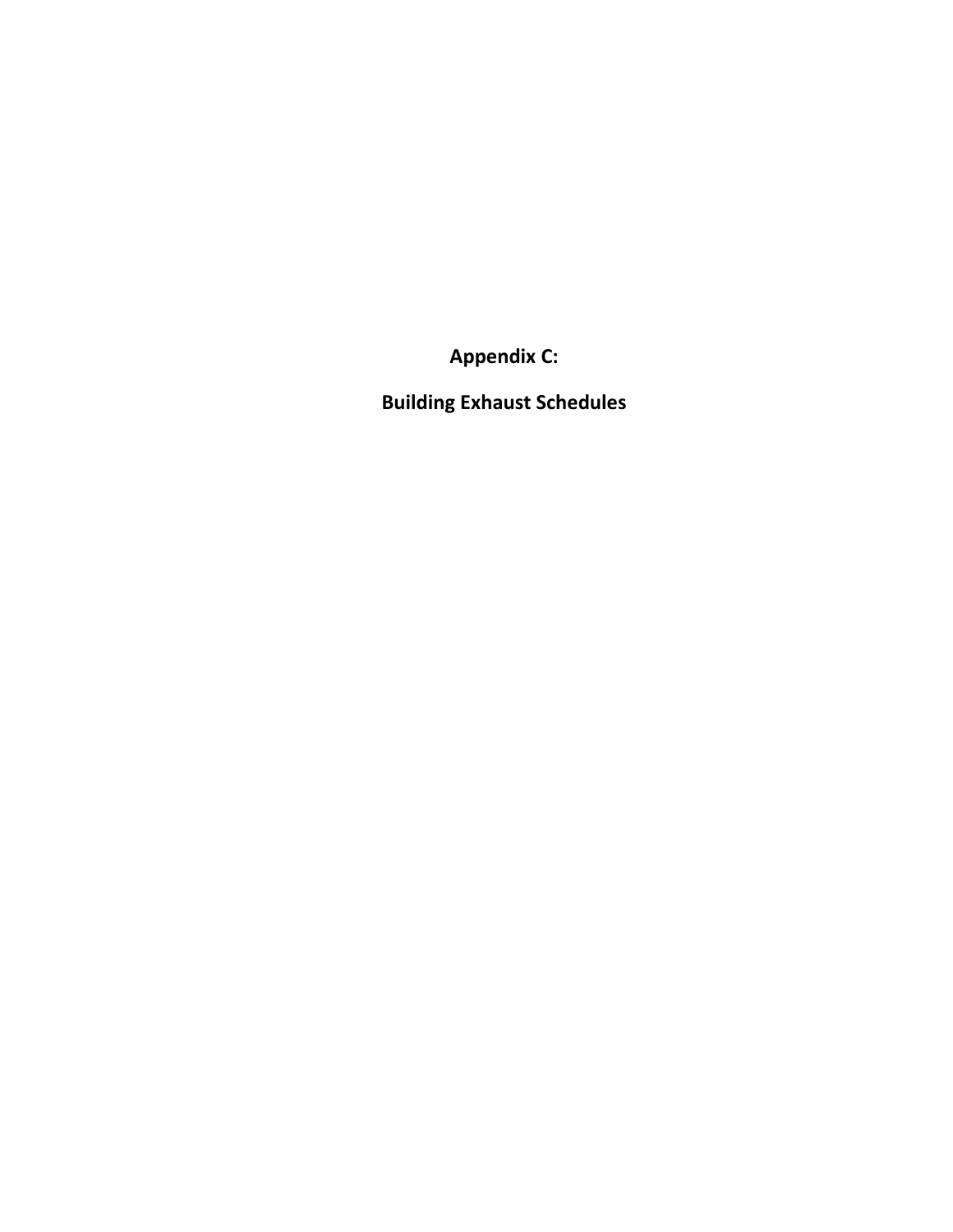**Appendix C:** 

**Building Exhaust Schedules**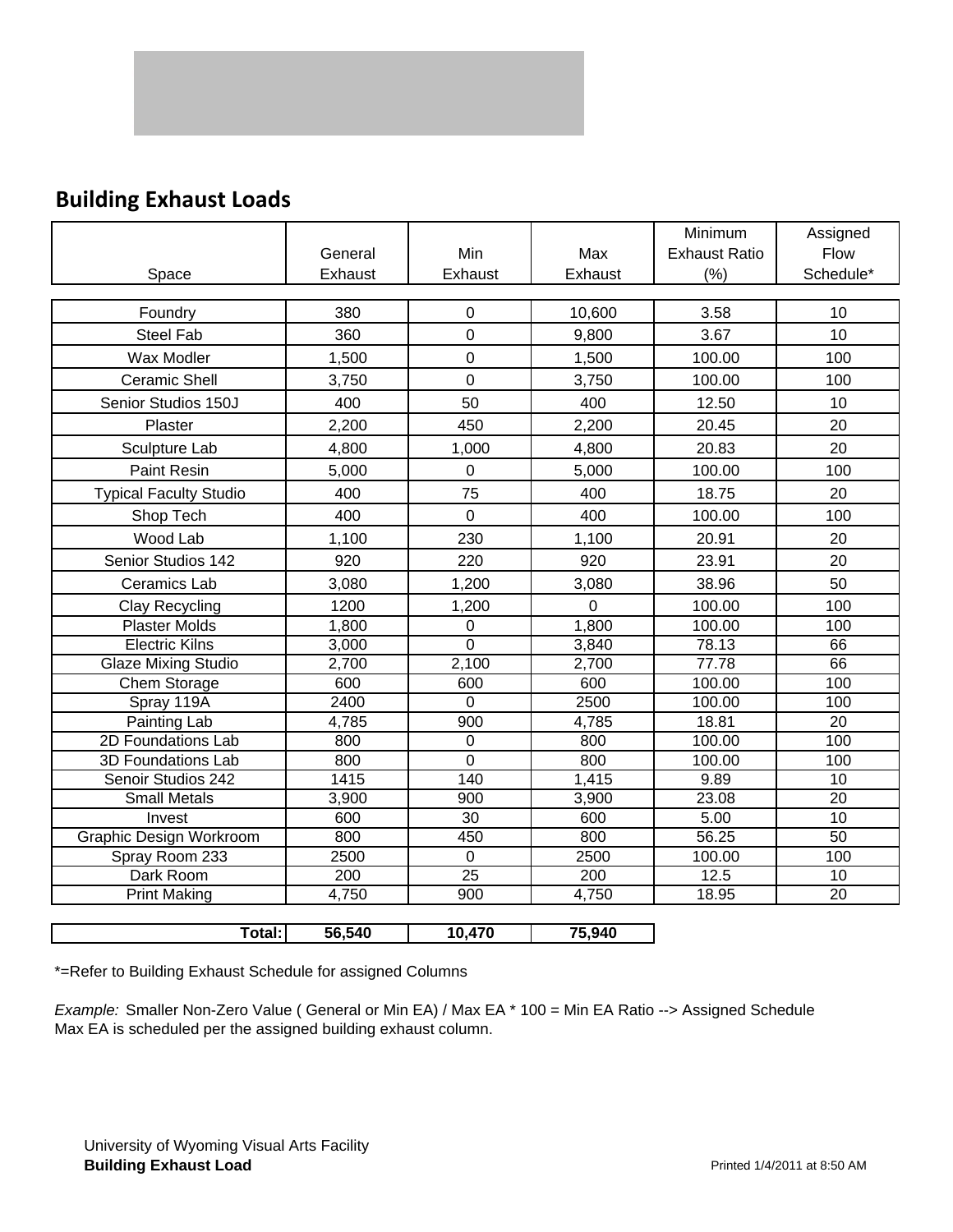# **Building Exhaust Loads**

|                                |         |                  |             | Minimum              | Assigned  |
|--------------------------------|---------|------------------|-------------|----------------------|-----------|
|                                | General | Min              | Max         | <b>Exhaust Ratio</b> | Flow      |
| Space                          | Exhaust | Exhaust          | Exhaust     | (% )                 | Schedule* |
|                                |         |                  |             |                      |           |
| Foundry                        | 380     | $\mathbf 0$      | 10,600      | 3.58                 | 10        |
| <b>Steel Fab</b>               | 360     | $\overline{0}$   | 9,800       | 3.67                 | 10        |
| Wax Modler                     | 1,500   | $\mathbf 0$      | 1,500       | 100.00               | 100       |
| <b>Ceramic Shell</b>           | 3,750   | $\overline{0}$   | 3,750       | 100.00               | 100       |
| Senior Studios 150J            | 400     | 50               | 400         | 12.50                | 10        |
| Plaster                        | 2,200   | 450              | 2,200       | 20.45                | 20        |
| Sculpture Lab                  | 4,800   | 1,000            | 4,800       | 20.83                | 20        |
| <b>Paint Resin</b>             | 5,000   | $\mathbf 0$      | 5,000       | 100.00               | 100       |
| <b>Typical Faculty Studio</b>  | 400     | 75               | 400         | 18.75                | 20        |
| Shop Tech                      | 400     | $\overline{0}$   | 400         | 100.00               | 100       |
| Wood Lab                       | 1,100   | 230              | 1,100       | 20.91                | 20        |
| Senior Studios 142             | 920     | 220              | 920         | 23.91                | 20        |
| Ceramics Lab                   | 3,080   | 1,200            | 3,080       | 38.96                | 50        |
| <b>Clay Recycling</b>          | 1200    | 1,200            | $\mathbf 0$ | 100.00               | 100       |
| <b>Plaster Molds</b>           | 1,800   | $\mathbf 0$      | 1,800       | 100.00               | 100       |
| <b>Electric Kilns</b>          | 3,000   | $\overline{0}$   | 3,840       | 78.13                | 66        |
| <b>Glaze Mixing Studio</b>     | 2,700   | 2,100            | 2,700       | 77.78                | 66        |
| Chem Storage                   | 600     | 600              | 600         | 100.00               | 100       |
| Spray 119A                     | 2400    | $\mathbf 0$      | 2500        | 100.00               | 100       |
| Painting Lab                   | 4,785   | $\overline{900}$ | 4,785       | 18.81                | 20        |
| 2D Foundations Lab             | 800     | 0                | 800         | 100.00               | 100       |
| 3D Foundations Lab             | 800     | $\overline{0}$   | 800         | 100.00               | 100       |
| Senoir Studios 242             | 1415    | 140              | 1,415       | 9.89                 | 10        |
| <b>Small Metals</b>            | 3,900   | 900              | 3,900       | 23.08                | 20        |
| Invest                         | 600     | 30               | 600         | 5.00                 | 10        |
| <b>Graphic Design Workroom</b> | 800     | 450              | 800         | 56.25                | 50        |
| Spray Room 233                 | 2500    | 0                | 2500        | 100.00               | 100       |
| Dark Room                      | 200     | 25               | 200         | 12.5                 | 10        |
| <b>Print Making</b>            | 4,750   | 900              | 4,750       | 18.95                | 20        |
|                                |         |                  |             |                      |           |
| Total:                         | 56,540  | 10,470           | 75,940      |                      |           |

\*=Refer to Building Exhaust Schedule for assigned Columns

*Example:* Smaller Non-Zero Value ( General or Min EA) / Max EA \* 100 = Min EA Ratio --> Assigned Schedule Max EA is scheduled per the assigned building exhaust column.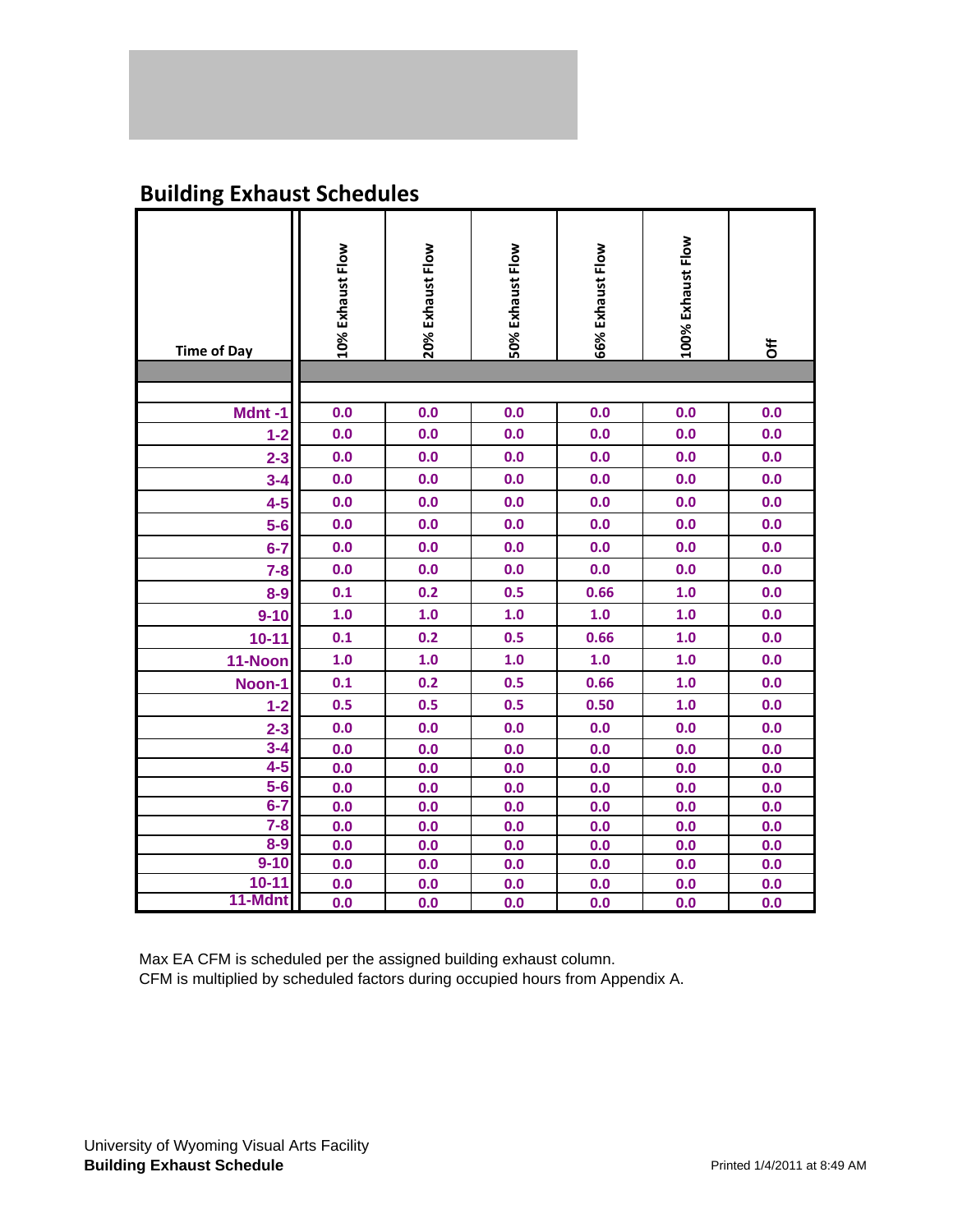# **Building Exhaust Schedules**

| <b>Time of Day</b>   | 10% Exhaust Flow | 20% Exhaust Flow | 50% Exhaust Flow | 66% Exhaust Flow | 100% Exhaust Flow | <b>FO</b> |
|----------------------|------------------|------------------|------------------|------------------|-------------------|-----------|
|                      |                  |                  |                  |                  |                   |           |
| Mdnt-1               | 0.0              | 0.0              | 0.0              | 0.0              | 0.0               | 0.0       |
| $1-2$                | 0.0              | 0.0              | 0.0              | 0.0              | 0.0               | 0.0       |
| $2 - 3$              | 0.0              | 0.0              | 0.0              | 0.0              | 0.0               | 0.0       |
| $3 - 4$              | 0.0              | 0.0              | 0.0              | 0.0              | 0.0               | 0.0       |
| $4-5$                | 0.0              | 0.0              | 0.0              | 0.0              | 0.0               | 0.0       |
| $5-6$                | 0.0              | 0.0              | 0.0              | 0.0              | 0.0               | 0.0       |
| $6-7$                | 0.0              | 0.0              | 0.0              | 0.0              | 0.0               | 0.0       |
| $7-8$                | 0.0              | 0.0              | 0.0              | 0.0              | 0.0               | 0.0       |
| $8-9$                | 0.1              | 0.2              | 0.5              | 0.66             | 1.0               | 0.0       |
| $9 - 10$             | 1.0              | 1.0              | 1.0              | 1.0              | 1.0               | 0.0       |
| $10 - 11$            | 0.1              | 0.2              | 0.5              | 0.66             | 1.0               | 0.0       |
| 11-Noon              | 1.0              | 1.0              | 1.0              | 1.0              | 1.0               | 0.0       |
| Noon-1               | 0.1              | 0.2              | 0.5              | 0.66             | 1.0               | 0.0       |
| $1-2$                | 0.5              | 0.5              | 0.5              | 0.50             | 1.0               | 0.0       |
| $2 - 3$              | 0.0              | 0.0              | 0.0              | 0.0              | 0.0               | 0.0       |
| $3 - 4$              | 0.0              | 0.0              | 0.0              | 0.0              | 0.0               | 0.0       |
| $4-5$                | 0.0              | 0.0              | 0.0              | 0.0              | 0.0               | 0.0       |
| $\frac{5-6}{6-7}$    | 0.0              | 0.0              | 0.0              | 0.0              | 0.0               | 0.0       |
|                      | 0.0              | 0.0              | 0.0              | 0.0              | 0.0               | 0.0       |
| $7-8$                | 0.0              | 0.0              | 0.0              | 0.0              | 0.0               | 0.0       |
| $8 - 9$              | 0.0              | 0.0              | 0.0              | 0.0              | 0.0               | 0.0       |
| $9 - 10$             | 0.0              | 0.0              | 0.0              | 0.0              | 0.0               | 0.0       |
| $10 - 11$<br>11-Mdnt | 0.0              | 0.0              | 0.0              | 0.0              | 0.0               | 0.0       |
|                      | 0.0              | 0.0              | 0.0              | 0.0              | 0.0               | 0.0       |

Max EA CFM is scheduled per the assigned building exhaust column. CFM is multiplied by scheduled factors during occupied hours from Appendix A.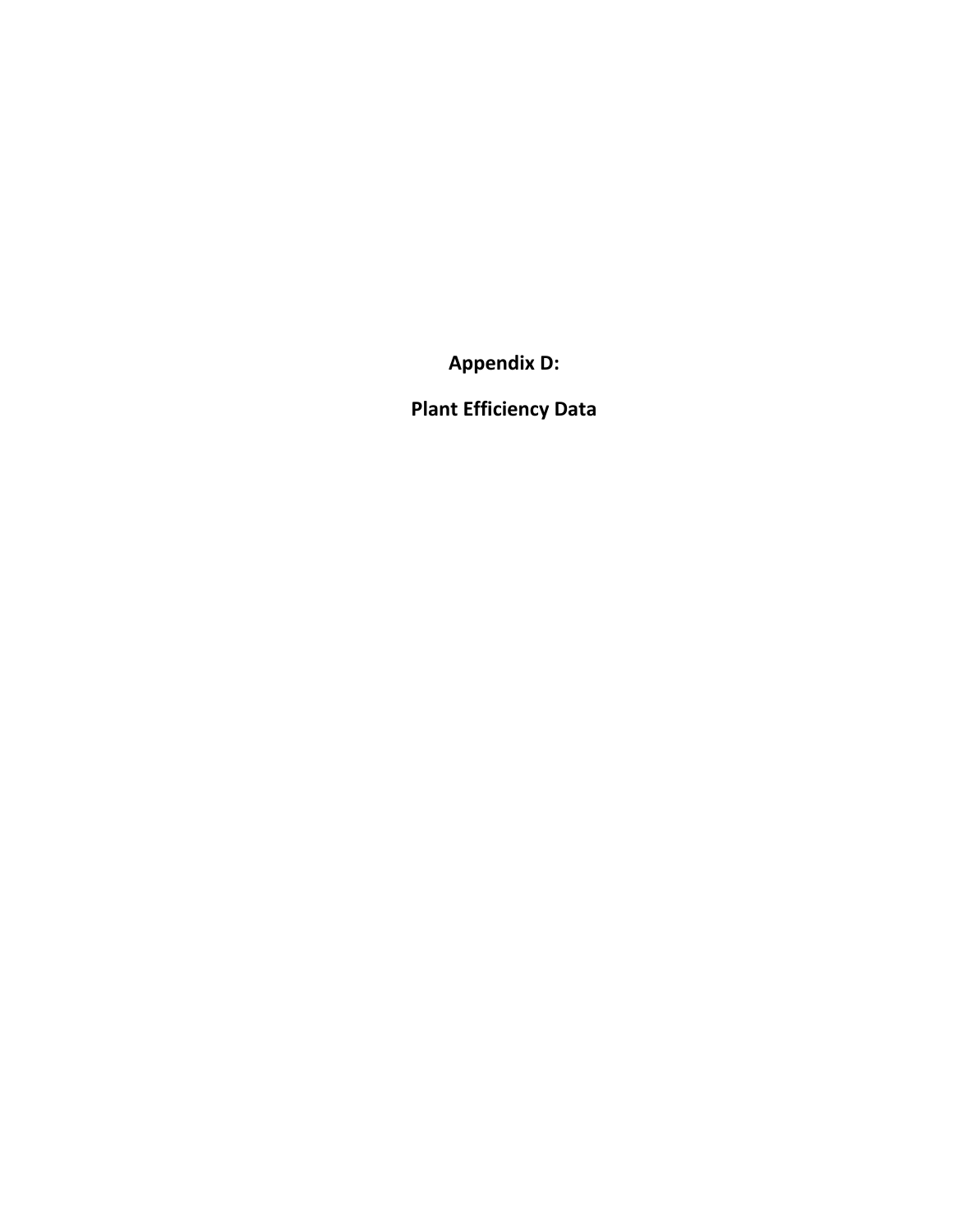**Appendix D:** 

**Plant Efficiency Data**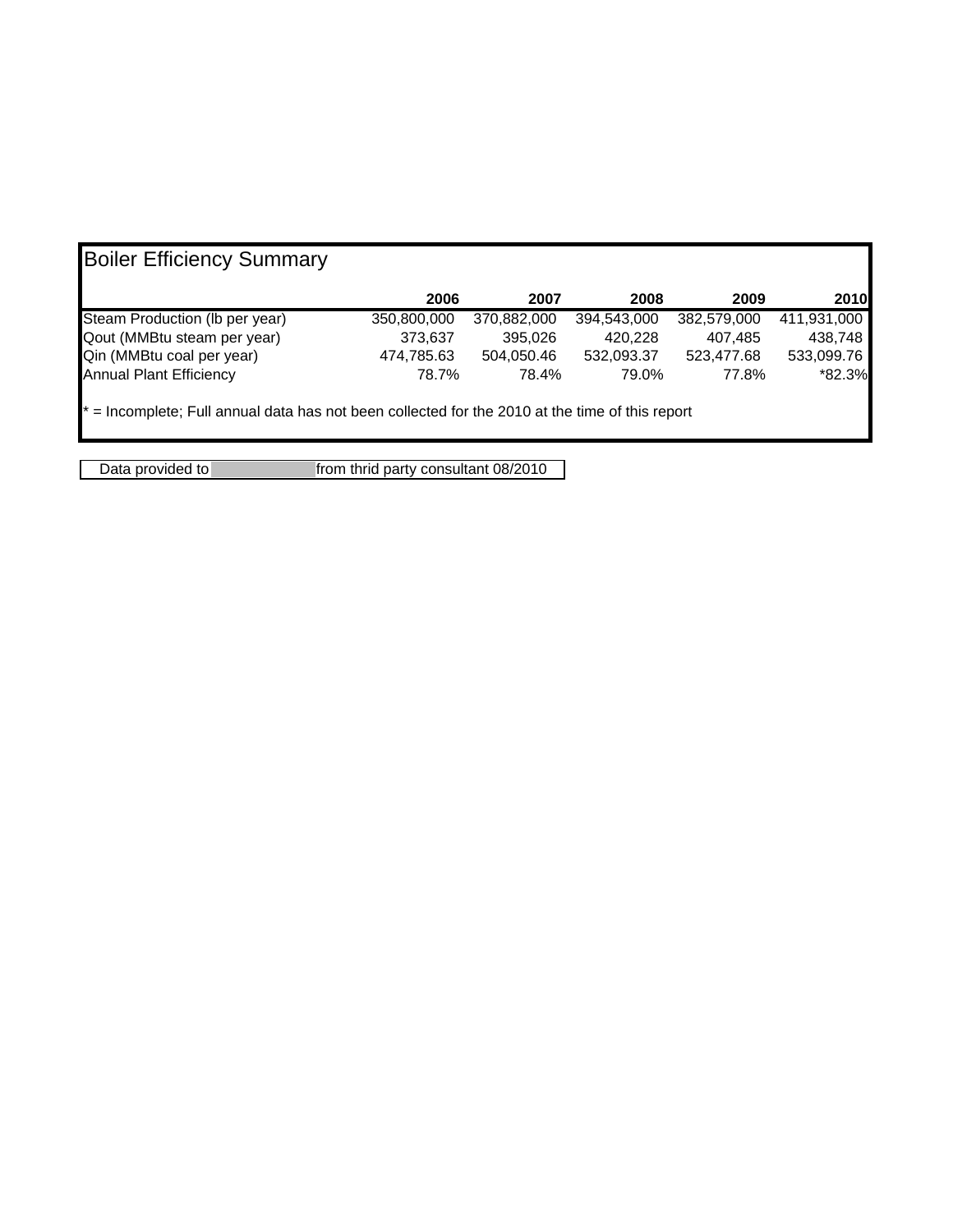| Steam Production (Ib per year) | 350,800,000 | 370,882,000 |             |             |             |
|--------------------------------|-------------|-------------|-------------|-------------|-------------|
|                                |             |             | 394,543,000 | 382,579,000 | 411,931,000 |
| Qout (MMBtu steam per year)    | 373,637     | 395.026     | 420,228     | 407,485     | 438,748     |
| Qin (MMBtu coal per year)      | 474,785.63  | 504,050.46  | 532,093.37  | 523,477.68  | 533,099.76  |
| <b>Annual Plant Efficiency</b> | 78.7%       | 78.4%       | 79.0%       | 77.8%       | *82.3%      |

Data provided to M-E Engineers from thrid party consultant 08/2010